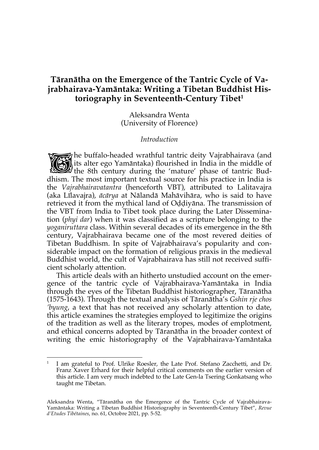# **Tāranātha on the Emergence of the Tantric Cycle of Vajrabhairava-Yamāntaka: Writing a Tibetan Buddhist Historiography in Seventeenth-Century Tibet1**

Aleksandra Wenta (University of Florence)

#### *Introduction*

the buffalo-headed wrathful tantric deity Vajrabhairava (and **Way in the middle** of **Way is** alter ego Yamāntaka) flourished in India in the middle of its alter ego Yamāntaka) flourished in India in the middle of The buffalo-headed wrathful tantric deity Vajrabhairava (and<br>the 8th century during the 'mature' phase of tantric Bud-<br>this are the sub-century during the 'mature' phase of tantric Buddhism. The most important textual source for his practice in India is the *Vajrabhairavatantra* (henceforth VBT), attributed to Lalitavajra (aka Līlavajra), *ācārya* at Nālandā Mahāvihāra, who is said to have retrieved it from the mythical land of Oḍḍiyāna. The transmission of the VBT from India to Tibet took place during the Later Dissemination (*phyi dar*) when it was classified as a scripture belonging to the *yoganiruttara* class. Within several decades of its emergence in the 8th century, Vajrabhairava became one of the most revered deities of Tibetan Buddhism. In spite of Vajrabhairava's popularity and considerable impact on the formation of religious praxis in the medieval Buddhist world, the cult of Vajrabhairava has still not received sufficient scholarly attention.

This article deals with an hitherto unstudied account on the emergence of the tantric cycle of Vajrabhairava-Yamāntaka in India through the eyes of the Tibetan Buddhist historiographer, Tāranātha (1575-1643). Through the textual analysis of Tāranātha's *Gshin rje chos 'byung*, a text that has not received any scholarly attention to date, this article examines the strategies employed to legitimize the origins of the tradition as well as the literary tropes, modes of emplotment, and ethical concerns adopted by Tāranātha in the broader context of writing the emic historiography of the Vajrabhairava-Yamāntaka

<sup>1</sup> I am grateful to Prof. Ulrike Roesler, the Late Prof. Stefano Zacchetti, and Dr. Franz Xaver Erhard for their helpful critical comments on the earlier version of this article. I am very much indebted to the Late Gen-la Tsering Gonkatsang who taught me Tibetan.

Aleksandra Wenta, "Tāranātha on the Emergence of the Tantric Cycle of Vajrabhairava-Yamāntaka: Writing a Tibetan Buddhist Historiography in Seventeenth-Century Tibet", *Revue d'Etudes Tibétaines*, no. 61, Octobre 2021, pp. 5-52.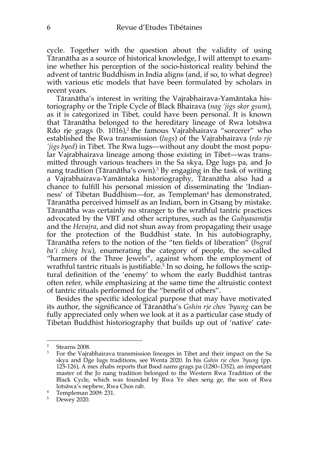cycle. Together with the question about the validity of using Tāranātha as a source of historical knowledge, I will attempt to examine whether his perception of the socio-historical reality behind the advent of tantric Buddhism in India aligns (and, if so, to what degree) with various etic models that have been formulated by scholars in recent years.

Tāranātha's interest in writing the Vajrabhairava-Yamāntaka historiography or the Triple Cycle of Black Bhairava (*nag 'jigs skor gsum*), as it is categorized in Tibet, could have been personal. It is known that Tāranātha belonged to the hereditary lineage of Rwa lotsāwa Rdo rje grags (b. 1016),<sup>2</sup> the famous Vajrabhairava "sorcerer" who established the Rwa transmission (*lugs*) of the Vajrabhairava (*rdo rje 'jigs byed*) in Tibet. The Rwa lugs—without any doubt the most popular Vajrabhairava lineage among those existing in Tibet—was transmitted through various teachers in the Sa skya, Dge lugs pa, and Jo nang tradition (Tāranātha's own). <sup>3</sup> By engaging in the task of writing a Vajrabhairava-Yamāntaka historiography, Tāranātha also had a chance to fulfill his personal mission of disseminating the 'Indianness' of Tibetan Buddhism—for, as Templeman<sup>4</sup> has demonstrated, Tāranātha perceived himself as an Indian, born in Gtsang by mistake. Tāranātha was certainly no stranger to the wrathful tantric practices advocated by the VBT and other scriptures, such as the *Guhyasamāja* and the *Hevajra*, and did not shun away from propagating their usage for the protection of the Buddhist state. In his autobiography, Tāranātha refers to the notion of the "ten fields of liberation" (*bsgral ba'i zhing bcu*), enumerating the category of people, the so-called "harmers of the Three Jewels", against whom the employment of wrathful tantric rituals is justifiable.<sup>5</sup> In so doing, he follows the scriptural definition of the 'enemy' to whom the early Buddhist tantras often refer, while emphasizing at the same time the altruistic context of tantric rituals performed for the "benefit of others".

Besides the specific ideological purpose that may have motivated its author, the significance of Tāranātha's *Gshin rje chos 'byung* can be fully appreciated only when we look at it as a particular case study of Tibetan Buddhist historiography that builds up out of 'native' cate-

<sup>2</sup> Stearns 2008.

<sup>&</sup>lt;sup>3</sup> For the Vajrabhairava transmission lineages in Tibet and their impact on the Sa skya and Dge lugs traditions, see Wenta 2020. In his *Gshin rje chos 'byung* (pp. 125-126), A mes zhabs reports that Bsod nams grags pa (1280–1352), an important master of the Jo nang tradition belonged to the Western Rwa Tradition of the Black Cycle, which was founded by Rwa Ye shes seng ge, the son of Rwa lotsāwa's nephew, Rwa Chos rab.

<sup>4</sup> Templeman 2009: 231.

<sup>5</sup> Dewey 2020.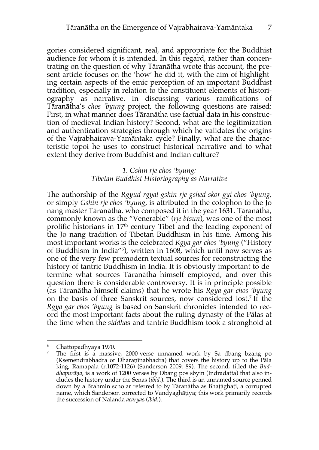gories considered significant, real, and appropriate for the Buddhist audience for whom it is intended. In this regard, rather than concentrating on the question of why Tāranātha wrote this account, the present article focuses on the 'how' he did it, with the aim of highlighting certain aspects of the emic perception of an important Buddhist tradition, especially in relation to the constituent elements of historiography as narrative. In discussing various ramifications of Tāranātha's *chos 'byung* project, the following questions are raised: First, in what manner does Tāranātha use factual data in his construction of medieval Indian history? Second, what are the legitimization and authentication strategies through which he validates the origins of the Vajrabhairava-Yamāntaka cycle? Finally, what are the characteristic topoi he uses to construct historical narrative and to what extent they derive from Buddhist and Indian culture?

## *1. Gshin rje chos 'byung: Tibetan Buddhist Historiography as Narrative*

The authorship of the *Rgyud rgyal gshin rje gshed skor gyi chos 'byung,* or simply *Gshin rje chos 'byung,* is attributed in the colophon to the Jo nang master Tāranātha, who composed it in the year 1631. Tāranātha, commonly known as the "Venerable" (*rje btsun*), was one of the most prolific historians in  $17<sup>th</sup>$  century Tibet and the leading exponent of the Jo nang tradition of Tibetan Buddhism in his time. Among his most important works is the celebrated *Rgya gar chos 'byung* ("History of Buddhism in India"6 ), written in 1608, which until now serves as one of the very few premodern textual sources for reconstructing the history of tantric Buddhism in India. It is obviously important to determine what sources Tāranātha himself employed, and over this question there is considerable controversy. It is in principle possible (as Tāranātha himself claims) that he wrote his *Rgya gar chos 'byung* on the basis of three Sanskrit sources, now considered lost. <sup>7</sup> If the *Rgya gar chos 'byung* is based on Sanskrit chronicles intended to record the most important facts about the ruling dynasty of the Pālas at the time when the *siddha*s and tantric Buddhism took a stronghold at

<sup>6</sup> Chattopadhyaya 1970.

<sup>&</sup>lt;sup>7</sup> The first is a massive, 2000-verse unnamed work by Sa dbang bzang po (Kṣemendrabhadra or Dharaṇīnabhadra) that covers the history up to the Pāla king, Rāmapāla (r.1072-1126) (Sanderson 2009: 89). The second, titled the *Buddhapurāṇa*, is a work of 1200 verses by Dbang pos sbyin (Indradatta) that also includes the history under the Senas (*ibid.*). The third is an unnamed source penned down by a Brahmin scholar referred to by Tāranātha as Bhaṭāghaṭī, a corrupted name, which Sanderson corrected to Vandyaghāṭiya; this work primarily records the succession of Nālandā *ācārya*s (*ibid.*).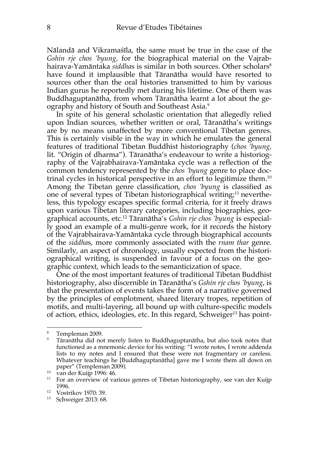Nālandā and Vikramaśīla, the same must be true in the case of the *Gshin rje chos 'byung,* for the biographical material on the Vajrabhairava-Yamāntaka *siddha*s is similar in both sources. Other scholars<sup>8</sup> have found it implausible that Tāranātha would have resorted to sources other than the oral histories transmitted to him by various Indian gurus he reportedly met during his lifetime. One of them was Buddhaguptanātha, from whom Tāranātha learnt a lot about the geography and history of South and Southeast Asia.9

In spite of his general scholastic orientation that allegedly relied upon Indian sources, whether written or oral, Tāranātha's writings are by no means unaffected by more conventional Tibetan genres. This is certainly visible in the way in which he emulates the general features of traditional Tibetan Buddhist historiography (*chos 'byung,*  lit. "Origin of dharma"). Tāranātha's endeavour to write a historiography of the Vajrabhairava-Yamāntaka cycle was a reflection of the common tendency represented by the *chos 'byung* genre to place doctrinal cycles in historical perspective in an effort to legitimize them. 10 Among the Tibetan genre classification, *chos 'byung* is classified as one of several types of Tibetan historiographical writing;<sup>11</sup> nevertheless, this typology escapes specific formal criteria, for it freely draws upon various Tibetan literary categories, including biographies, geographical accounts, etc.12 Tāranātha's *Gshin rje chos 'byung* is especially good an example of a multi-genre work, for it records the history of the Vajrabhairava-Yamāntaka cycle through biographical accounts of the *siddha*s, more commonly associated with the *rnam thar* genre. Similarly, an aspect of chronology, usually expected from the historiographical writing, is suspended in favour of a focus on the geographic context, which leads to the semanticization of space.

One of the most important features of traditional Tibetan Buddhist historiography, also discernible in Tāranātha's *Gshin rje chos 'byung*, is that the presentation of events takes the form of a narrative governed by the principles of emplotment, shared literary tropes, repetition of motifs, and multi-layering, all bound up with culture-specific models of action, ethics, ideologies, etc. In this regard, Schweiger<sup>13</sup> has point-

Templeman 2009.

<sup>9</sup> Tāranātha did not merely listen to Buddhaguptanātha, but also took notes that functioned as a mnemonic device for his writing: "I wrote notes, I wrote addenda lists to my notes and I ensured that these were not fragmentary or careless. Whatever teachings he [Buddhaguptanātha] gave me I wrote them all down on paper" (Templeman 2009).

<sup>10</sup> van der Kuijp 1996: 46.

<sup>&</sup>lt;sup>11</sup> For an overview of various genres of Tibetan historiography, see van der Kuijp 1996.

<sup>12</sup> Vostrikov 1970: 39.

<sup>13</sup> Schweiger 2013: 68.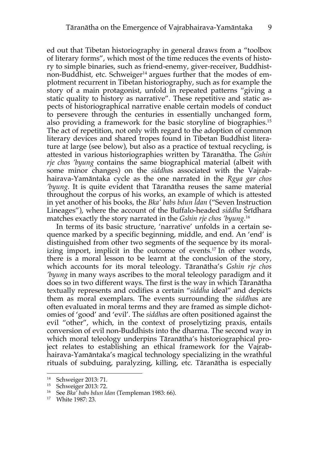ed out that Tibetan historiography in general draws from a "toolbox of literary forms", which most of the time reduces the events of history to simple binaries, such as friend-enemy, giver-receiver, Buddhistnon-Buddhist, etc. Schweiger<sup>14</sup> argues further that the modes of emplotment recurrent in Tibetan historiography, such as for example the story of a main protagonist, unfold in repeated patterns "giving a static quality to history as narrative". These repetitive and static aspects of historiographical narrative enable certain models of conduct to persevere through the centuries in essentially unchanged form, also providing a framework for the basic storyline of biographies. 15 The act of repetition, not only with regard to the adoption of common literary devices and shared tropes found in Tibetan Buddhist literature at large (see below), but also as a practice of textual recycling, is attested in various historiographies written by Tāranātha. The *Gshin rje chos 'byung* contains the same biographical material (albeit with some minor changes) on the *siddha*s associated with the Vajrabhairava-Yamāntaka cycle as the one narrated in the *Rgya gar chos 'byung*. It is quite evident that Tāranātha reuses the same material throughout the corpus of his works, an example of which is attested in yet another of his books, the *Bka' babs bdun ldan* ("Seven Instruction Lineages"), where the account of the Buffalo-headed *siddha* Śrīdhara matches exactly the story narrated in the *Gshin rje chos 'byung*. 16

In terms of its basic structure, 'narrative' unfolds in a certain sequence marked by a specific beginning, middle, and end. An 'end' is distinguished from other two segments of the sequence by its moralizing import, implicit in the outcome of events. <sup>17</sup> In other words, there is a moral lesson to be learnt at the conclusion of the story, which accounts for its moral teleology. Tāranātha's *Gshin rje chos 'byung* in many ways ascribes to the moral teleology paradigm and it does so in two different ways. The first is the way in which Tāranātha textually represents and codifies a certain "*siddha* ideal" and depicts them as moral exemplars. The events surrounding the *siddha*s are often evaluated in moral terms and they are framed as simple dichotomies of 'good' and 'evil'. The *siddha*s are often positioned against the evil "other", which, in the context of proselytizing praxis, entails conversion of evil non-Buddhists into the dharma. The second way in which moral teleology underpins Tāranātha's historiographical project relates to establishing an ethical framework for the Vajrabhairava-Yamāntaka's magical technology specializing in the wrathful rituals of subduing, paralyzing, killing, etc. Tāranātha is especially

<sup>14</sup> Schweiger 2013: 71.

<sup>&</sup>lt;sup>15</sup> Schweiger 2013: 72.<br><sup>16</sup> See Bkg' habs hdun le

<sup>16</sup> See *Bka' babs bdun ldan* (Templeman 1983: 66).

<sup>17</sup> White 1987: 23.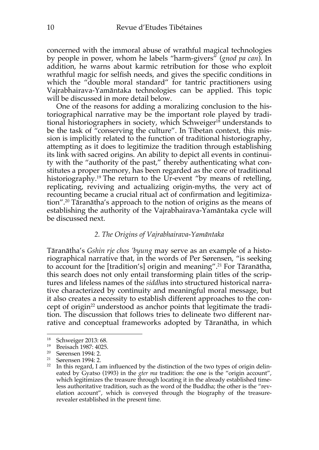concerned with the immoral abuse of wrathful magical technologies by people in power, whom he labels "harm-givers" (*gnod pa can*). In addition, he warns about karmic retribution for those who exploit wrathful magic for selfish needs, and gives the specific conditions in which the "double moral standard" for tantric practitioners using Vajrabhairava-Yamāntaka technologies can be applied. This topic will be discussed in more detail below.

One of the reasons for adding a moralizing conclusion to the historiographical narrative may be the important role played by traditional historiographers in society, which Schweiger<sup>18</sup> understands to be the task of "conserving the culture". In Tibetan context, this mission is implicitly related to the function of traditional historiography, attempting as it does to legitimize the tradition through establishing its link with sacred origins. An ability to depict all events in continuity with the "authority of the past," thereby authenticating what constitutes a proper memory, has been regarded as the core of traditional historiography. <sup>19</sup> The return to the Ur-event "by means of retelling, replicating, reviving and actualizing origin-myths, the very act of recounting became a crucial ritual act of confirmation and legitimization". <sup>20</sup> Tāranātha's approach to the notion of origins as the means of establishing the authority of the Vajrabhairava-Yamāntaka cycle will be discussed next.

#### *2. The Origins of Vajrabhairava-Yamāntaka*

Tāranātha's *Gshin rje chos 'byung* may serve as an example of a historiographical narrative that, in the words of Per Sørensen, "is seeking to account for the [tradition's] origin and meaning".21 For Tāranātha, this search does not only entail transforming plain titles of the scriptures and lifeless names of the *siddha*s into structured historical narrative characterized by continuity and meaningful moral message, but it also creates a necessity to establish different approaches to the concept of origin<sup>22</sup> understood as anchor points that legitimate the tradition. The discussion that follows tries to delineate two different narrative and conceptual frameworks adopted by Tāranātha, in which

<sup>18</sup> Schweiger 2013: 68.

<sup>19</sup> Breisach 1987: 4025.

<sup>20</sup> Sørensen 1994: 2.

<sup>21</sup> Sørensen 1994: 2.

<sup>&</sup>lt;sup>22</sup> In this regard, I am influenced by the distinction of the two types of origin delineated by Gyatso (1993) in the *gter ma* tradition: the one is the "origin account", which legitimizes the treasure through locating it in the already established timeless authoritative tradition, such as the word of the Buddha; the other is the "revelation account", which is conveyed through the biography of the treasurerevealer established in the present time.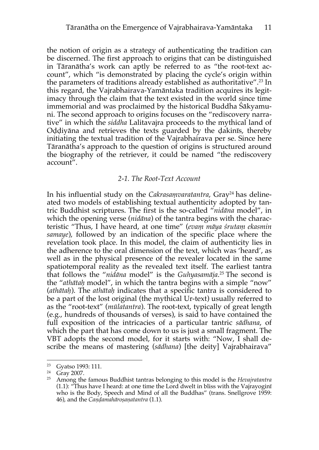the notion of origin as a strategy of authenticating the tradition can be discerned. The first approach to origins that can be distinguished in Tāranātha's work can aptly be referred to as "the root-text account", which "is demonstrated by placing the cycle's origin within the parameters of traditions already established as authoritative". <sup>23</sup> In this regard, the Vajrabhairava-Yamāntaka tradition acquires its legitimacy through the claim that the text existed in the world since time immemorial and was proclaimed by the historical Buddha Śākyamuni. The second approach to origins focuses on the "rediscovery narrative" in which the *siddha* Lalitavajra proceeds to the mythical land of Oḍḍiyāna and retrieves the texts guarded by the ḍakinīs, thereby initiating the textual tradition of the Vajrabhairava per se. Since here Tāranātha's approach to the question of origins is structured around the biography of the retriever, it could be named "the rediscovery account".

### *2-1. The Root-Text Account*

In his influential study on the *Cakrasamvaratantra*, Gray<sup>24</sup> has delineated two models of establishing textual authenticity adopted by tantric Buddhist scriptures. The first is the so-called "*nidāna* model", in which the opening verse (*nidāna*) of the tantra begins with the characteristic "Thus, I have heard, at one time" (*evaṃ māya śrutaṃ ekasmin samaye*), followed by an indication of the specific place where the revelation took place. In this model, the claim of authenticity lies in the adherence to the oral dimension of the text, which was 'heard', as well as in the physical presence of the revealer located in the same spatiotemporal reality as the revealed text itself. The earliest tantra that follows the "*nidāna* model" is the *Guhyasamāja*. <sup>25</sup> The second is the "*athātaḥ* model", in which the tantra begins with a simple "now" (*athātaḥ*). The *athātaḥ* indicates that a specific tantra is considered to be a part of the lost original (the mythical Ur-text) usually referred to as the "root-text" (*mūlatantra*). The root-text, typically of great length (e.g., hundreds of thousands of verses), is said to have contained the full exposition of the intricacies of a particular tantric *sādhana*, of which the part that has come down to us is just a small fragment. The VBT adopts the second model, for it starts with: "Now, I shall describe the means of mastering (*sādhana*) [the deity] Vajrabhairava"

<sup>23</sup> Gyatso 1993: 111.

<sup>&</sup>lt;sup>24</sup> Gray 2007.

<sup>25</sup> Among the famous Buddhist tantras belonging to this model is the *Hevajratantra* (1.1): "Thus have I heard: at one time the Lord dwelt in bliss with the Vajrayoginī who is the Body, Speech and Mind of all the Buddhas" (trans. Snellgrove 1959: 46), and the *Caṇḍamahāroṣaṇatantra* (1.1).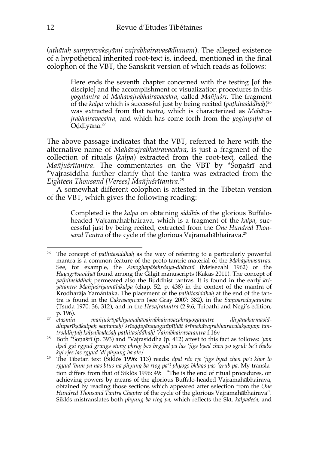(*athātaḥ saṃpravakṣyāmi vajrabhairavasādhanam*). The alleged existence of a hypothetical inherited root-text is, indeed, mentioned in the final colophon of the VBT, the Sanskrit version of which reads as follows:

> Here ends the seventh chapter concerned with the testing [of the disciple] and the accomplishment of visualization procedures in this *yogatantra* of *Mahāvajrabhairavacakra*, called *Mañjuśrī*. The fragment of the *kalpa* which is successful just by being recited (*paṭhitasiddhaḥ*) 26 was extracted from that *tantra*, which is characterized as *Mahāvajrabhairavacakra*, and which has come forth from the *yoginīpīṭha* of Oḍḍiyāna.27

The above passage indicates that the VBT*,* referred to here with the alternative name of *Mahāvajrabhairavacakra*, is just a fragment of the collection of rituals (*kalpa*) extracted from the root-text, called the *Mañjuśrītantra*. The commentaries on the VBT by \*Śoṇaśrī and \*Vajrasiddha further clarify that the tantra was extracted from the *Eighteen Thousand [Verses] Mañjuśrītantra*. 28

A somewhat different colophon is attested in the Tibetan version of the VBT, which gives the following reading:

> Completed is the *kalpa* on obtaining *siddhi*s of the glorious Buffaloheaded Vajramahābhairava, which is a fragment of the *kalpa*, successful just by being recited, extracted from the *One Hundred Thou*sand Tantra of the cycle of the glorious Vajramahābhairava.<sup>29</sup>

<sup>&</sup>lt;sup>26</sup> The concept of *pathitasiddhah* as the way of referring to a particularly powerful mantra is a common feature of the proto-tantric material of the *Mahāyānasūtra*s. See, for example, the *Amoghapāśahṛdaya-dhāraṇī* (Meisezahl 1962) or the *Hayagrīvavidyā* found among the Gilgit manuscripts (Kakas 2011). The concept of *paṭhitasiddhaḥ* permeated also the Buddhist tantras. It is found in the early *kriyātantra Mañjuśriyamūlakalpa* (chap. 52, p. 438) in the context of the mantra of Krodharāja Yamāntaka. The placement of the *paṭhitasiddhaḥ* at the end of the tantra is found in the *Cakrasaṃvara* (see Gray 2007: 382), in the *Saṃvarodayatantra* (Tsuda 1970: 36, 312), and in the *Hevajratantra* (2.9.6, Tripathi and Negi's edition,

p. 196). 27 *etasmin mañjuśrīyākhyamahāvajrabhairavacakrayogatantre dhyānakarmasid*dhiparīksākalpah saptamah/ srīoddiyānayoginīpīthāt srīmahāvajrabhairavalaksanam tan*troddhṛtaḥ kalpaikadeśaḥ paṭhitasiddhaḥ/ Vajrabhairavatantra* f.16v

<sup>28</sup> Both \*Śoṇaśrī (p. 393) and \*Vajrasiddha (p. 412) attest to this fact as follows: *'jam dpal gyi rgyud grangs stong phrag bco brgyad pa las 'jigs byed chen po sgrub ba'i thabs kyi rjes las rgyud 'di phyung ba ste*/

<sup>29</sup> The Tibetan text (Siklós 1996: 113) reads: *dpal rdo rje 'jigs byed chen po'i khor lo rgyud 'bum pa nas btus na phyung ba rtog pa'i phyogs bklags pas 'grub pa*. My translation differs from that of Siklós 1996: 49: "The is the end of ritual procedures, on achieving powers by means of the glorious Buffalo-headed Vajramahābhairava, obtained by reading those sections which appeared after selection from the *One*  Hundred Thousand Tantra Chapter of the cycle of the glorious Vajramahābhairava". Siklós mistranslates both *phyung ba rtog pa*, which reflects the Skt. *kalpadeśa,* and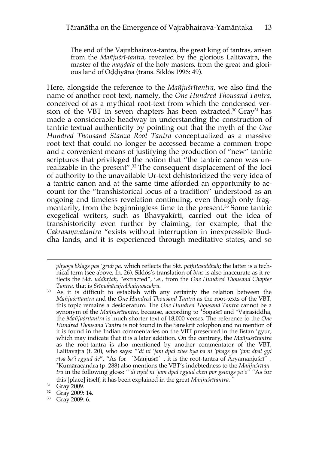The end of the Vajrabhairava-tantra, the great king of tantras, arisen from the *Mañjuśrī-tantra*, revealed by the glorious Lalitavajra, the master of the *mandala* of the holy masters, from the great and glorious land of Oḍḍiyāna (trans. Siklós 1996: 49).

Here, alongside the reference to the *Mañjuśrītantra*, we also find the name of another root-text, namely, the *One Hundred Thousand Tantra*, conceived of as a mythical root-text from which the condensed version of the VBT in seven chapters has been extracted.<sup>30</sup> Gray<sup>31</sup> has made a considerable headway in understanding the construction of tantric textual authenticity by pointing out that the myth of the *One Hundred Thousand Stanza Root Tantra* conceptualized as a massive root-text that could no longer be accessed became a common trope and a convenient means of justifying the production of "new" tantric scriptures that privileged the notion that "the tantric canon was unrealizable in the present". <sup>32</sup> The consequent displacement of the loci of authority to the unavailable Ur-text dehistoricized the very idea of a tantric canon and at the same time afforded an opportunity to account for the "transhistorical locus of a tradition" understood as an ongoing and timeless revelation continuing, even though only fragmentarily, from the beginningless time to the present. <sup>33</sup> Some tantric exegetical writers, such as Bhavyakīrti, carried out the idea of transhistoricity even further by claiming, for example, that the *Cakrasaṃvatantra* "exists without interruption in inexpressible Buddha lands, and it is experienced through meditative states, and so

*phyogs bklags pas 'grub pa*, which reflects the Skt. *paṭhitasiddhah*; the latter is a tech- *̣* nical term (see above, fn. 26). Siklós's translation of *btus* is also inaccurate as it reflects the Skt. *uddhrtah*, "extracted", i.e., from the *One Hundred Thousand Chapter Tantra*, that is *Srīmahāvajrabhairavacakra*.

<sup>&</sup>lt;sup>30</sup> As it is difficult to establish with any certainty the relation between the *Mañjuśrītantra* and the *One Hundred Thousand Tantra* as the root-texts of the VBT*,*  this topic remains a desideratum. The *One Hundred Thousand Tantra* cannot be a synonym of the *Mañjuśrītantra*, because, according to \*Śoṇaśrī and \*Vajrasiddha, the *Mañjuśrītantra* is much shorter text of 18,000 verses. The reference to the *One Hundred Thousand Tantra* is not found in the Sanskrit colophon and no mention of it is found in the Indian commentaries on the VBT preserved in the Bstan 'gyur, which may indicate that it is a later addition. On the contrary, the *Mañjuśrītantra*  as the root-tantra is also mentioned by another commentator of the VBT, Lalitavajra (f. 20), who says: "*'di ni 'jam dpal zhes bya ba ni 'phags pa 'jam dpal gyi rtsa ba'i rgyud de*", "As for 'Mañjuśrī', it is the root-tantra of Āryamañjuśrī". \*Kumāracandra (p. 288) also mentions the VBT's indebtedness to the *Mañjuśrītantra* in the following gloss: "*'di nyid ni 'jam dpal rgyud chen por gsungs pa'o*" "As for this [place] itself, it has been explained in the great *Mañjuśrītantra.*"

<sup>31</sup> Gray 2009.

<sup>32</sup> Gray 2009: 14.

<sup>33</sup> Gray 2009: 6.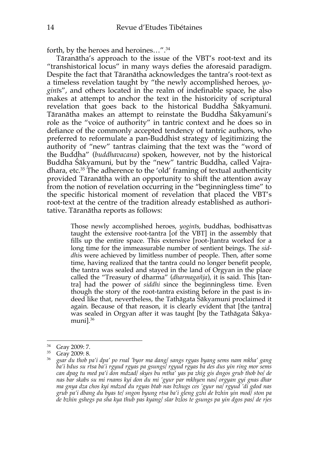forth, by the heroes and heroines…". 34

Tāranātha's approach to the issue of the VBT's root-text and its "transhistorical locus" in many ways defies the aforesaid paradigm. Despite the fact that Tāranātha acknowledges the tantra's root-text as a timeless revelation taught by "the newly accomplished heroes, *yoginī*s", and others located in the realm of indefinable space, he also makes at attempt to anchor the text in the historicity of scriptural revelation that goes back to the historical Buddha Śākyamuni. Tāranātha makes an attempt to reinstate the Buddha Śākyamuni's role as the "voice of authority" in tantric context and he does so in defiance of the commonly accepted tendency of tantric authors, who preferred to reformulate a pan-Buddhist strategy of legitimizing the authority of "new" tantras claiming that the text was the "word of the Buddha" (*buddhavacana*) spoken, however, not by the historical Buddha Śākyamuni, but by the "new" tantric Buddha, called Vajradhara, etc.35 The adherence to the 'old' framing of textual authenticity provided Tāranātha with an opportunity to shift the attention away from the notion of revelation occurring in the "beginningless time" to the specific historical moment of revelation that placed the VBT's root-text at the centre of the tradition already established as authoritative. Tāranātha reports as follows:

> Those newly accomplished heroes, *yoginī*s, buddhas, bodhisattvas taught the extensive root-tantra [of the VBT] in the assembly that fills up the entire space. This extensive [root-]tantra worked for a long time for the immeasurable number of sentient beings. The *siddhi*s were achieved by limitless number of people. Then, after some time, having realized that the tantra could no longer benefit people, the tantra was sealed and stayed in the land of Orgyan in the place called the "Treasury of dharma" (*dharmagañja*), it is said. This [tantra] had the power of *siddhi* since the beginningless time. Even though the story of the root-tantra existing before in the past is indeed like that, nevertheless, the Tathāgata Śākyamuni proclaimed it again. Because of that reason, it is clearly evident that [the tantra] was sealed in Orgyan after it was taught [by the Tathāgata Śākyamuni].36

<sup>34</sup> Gray 2009: 7.

<sup>35</sup> Gray 2009: 8.

<sup>36</sup> *gsar du thob pa'i dpa' po rnal 'byor ma dang/ sangs rgyas byang sems nam mkha' gang ba'i bdus su rtsa ba'i rgyud rgyas pa gsungs/ rgyud rgyas ba des dus yin ring mor sems can dpag tu med pa'i don mdzad/ skyes bu mtha' yas pa zhig gis dngos grub thob bo/ de nas bar skabs su mi rnams kyi don du mi 'gyur par mkhyen nas/ orgyan gyi gnas dhar ma gnya dza chos kyi mdzod du rgyas btab nas bzhugs ces 'gyur na/ rgyud 'di gdod nas grub pa'i dbang du byas te/ sngon byung rtsa ba'i gleng gzhi de bzhin yin mod/ ston pa de bzhin gshegs pa sha kya thub pas kyang/ slar bzlos te gsungs pa yin dgos pas/ de rjes*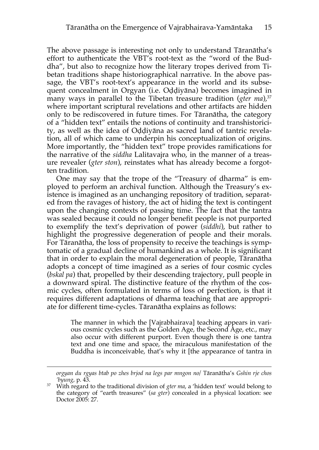The above passage is interesting not only to understand Tāranātha's effort to authenticate the VBT's root-text as the "word of the Buddha", but also to recognize how the literary tropes derived from Tibetan traditions shape historiographical narrative. In the above passage, the VBT's root-text's appearance in the world and its subsequent concealment in Orgyan (i.e. Oḍḍiyāna) becomes imagined in many ways in parallel to the Tibetan treasure tradition (*gter ma*),<sup>37</sup> where important scriptural revelations and other artifacts are hidden only to be rediscovered in future times. For Tāranātha, the category of a "hidden text" entails the notions of continuity and transhistoricity, as well as the idea of Oḍḍiyāna as sacred land of tantric revelation, all of which came to underpin his conceptualization of origins. More importantly, the "hidden text" trope provides ramifications for the narrative of the *siddha* Lalitavajra who, in the manner of a treasure revealer (*gter ston*), reinstates what has already become a forgotten tradition.

One may say that the trope of the "Treasury of dharma" is employed to perform an archival function. Although the Treasury's existence is imagined as an unchanging repository of tradition, separated from the ravages of history, the act of hiding the text is contingent upon the changing contexts of passing time. The fact that the tantra was sealed because it could no longer benefit people is not purported to exemplify the text's deprivation of power (*siddhi*), but rather to highlight the progressive degeneration of people and their morals. For Tāranātha, the loss of propensity to receive the teachings is symptomatic of a gradual decline of humankind as a whole. It is significant that in order to explain the moral degeneration of people, Tāranātha adopts a concept of time imagined as a series of four cosmic cycles (*bskal pa*) that, propelled by their descending trajectory, pull people in a downward spiral. The distinctive feature of the rhythm of the cosmic cycles, often formulated in terms of loss of perfection, is that it requires different adaptations of dharma teaching that are appropriate for different time-cycles. Tāranātha explains as follows:

> The manner in which the [Vajrabhairava] teaching appears in various cosmic cycles such as the Golden Age, the Second Age, etc., may also occur with different purport. Even though there is one tantra text and one time and space, the miraculous manifestation of the Buddha is inconceivable, that's why it [the appearance of tantra in

*orgyan du rgyas btab po zhes brjod na legs par mngon no/* Tāranātha's *Gshin rje chos 'byung*, p. 43.

<sup>&</sup>lt;sup>37</sup> With regard to the traditional division of *gter ma*, a 'hidden text' would belong to the category of "earth treasures" (*sa gter*) concealed in a physical location: see Doctor 2005: 27.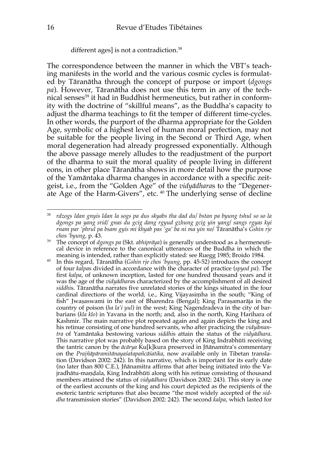#### different ages] is not a contradiction.<sup>38</sup>

The correspondence between the manner in which the VBT's teaching manifests in the world and the various cosmic cycles is formulated by Tāranātha through the concept of purpose or import (*dgongs pa*). However, Tāranātha does not use this term in any of the technical senses<sup>39</sup> it had in Buddhist hermeneutics, but rather in conformity with the doctrine of "skillful means", as the Buddha's capacity to adjust the dharma teachings to fit the temper of different time-cycles. In other words, the purport of the dharma appropriate for the Golden Age, symbolic of a highest level of human moral perfection, may not be suitable for the people living in the Second or Third Age, when moral degeneration had already progressed exponentially. Although the above passage merely alludes to the readjustment of the purport of the dharma to suit the moral quality of people living in different eons, in other place Tāranātha shows in more detail how the purpose of the Yamāntaka dharma changes in accordance with a specific zeitgeist, i.e., from the "Golden Age" of the *vidyādhara*s to the "Degenerate Age of the Harm-Givers", etc. 40 The underlying sense of decline

<sup>38</sup> *rdzogs ldan gnyis ldan la sogs pa dus skyabs tha dad du/ bstan pa byung tshul so so la dgongs pa yang srid/ gnas du gcig dang rgyud gzhung gcig yin yang/ sangs rgyas kyi rnam par 'phrul pa bsam gyis mi khyab pas 'ga' ba ni ma yin no/* Tāranātha's *Gshin rje chos 'byung*, p. 43.

<sup>39</sup> The concept of *dgongs pa* (Skt. *abhiprāya*) is generally understood as a hermeneutical device in reference to the canonical utterances of the Buddha in which the meaning is intended, rather than explicitly stated: see Ruegg 1985; Broido 1984.

<sup>40</sup> In this regard, Tāranātha (*Gshin rje chos 'byung*, pp. 45-52) introduces the concept of four *kalpa*s divided in accordance with the character of practice (*spyod pa*). The first *kalpa*, of unknown inception, lasted for one hundred thousand years and it was the age of the *vidyādhara*s characterized by the accomplishment of all desired *siddhi*s. Tāranātha narrates five unrelated stories of the kings situated in the four cardinal directions of the world, i.e., King Vijayasiṃha in the south; "King of fish" Jwaṣaswami in the east of Bharendra (Bengal); King Paraṣamarāja in the country of poison (*ha la'i yul*) in the west; King Nagendradeva in the city of barbarians (*kla klo*) in Yavana in the north; and, also in the north, King Harihara of Kashmir. The main narrative plot repeated again and again depicts the king and his retinue consisting of one hundred servants, who after practicing the *vidyāmantra* of Yamāntaka bestowing various *siddhi*s attain the status of the *vidyādhara*. This narrative plot was probably based on the story of King Indrabhūti receiving the tantric canon by the *ācārya* Ku[k]kura preserved in Jñānamitra's commentary on the *Prajñāpāramitānayaśatapañcāśatika*, now available only in Tibetan translation (Davidson 2002: 242). In this narrative, which is important for its early date (no later than 800 C.E.), Jñānamitra affirms that after being initiated into the Vajradhātu-maṇḍala, King Indrabhūti along with his retinue consisting of thousand members attained the status of *vidyādhara* (Davidson 2002: 243). This story is one of the earliest accounts of the king and his court depicted as the recipients of the esoteric tantric scriptures that also became "the most widely accepted of the *siddha* transmission stories" (Davidson 2002: 242). The second *kalpa*, which lasted for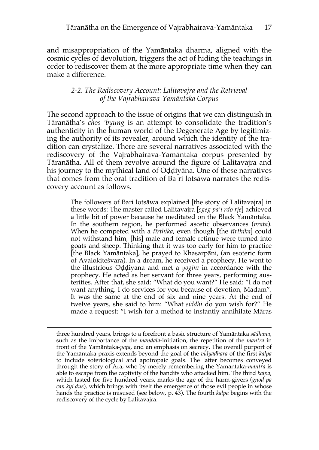and misappropriation of the Yamāntaka dharma, aligned with the cosmic cycles of devolution, triggers the act of hiding the teachings in order to rediscover them at the more appropriate time when they can make a difference.

### *2-2. The Rediscovery Account: Lalitavajra and the Retrieval of the Vajrabhairava-Yamāntaka Corpus*

The second approach to the issue of origins that we can distinguish in Tāranātha's *chos 'byung* is an attempt to consolidate the tradition's authenticity in the human world of the Degenerate Age by legitimizing the authority of its revealer, around which the identity of the tradition can crystalize. There are several narratives associated with the rediscovery of the Vajrabhairava-Yamāntaka corpus presented by Tāranātha. All of them revolve around the figure of Lalitavajra and his journey to the mythical land of Oḍḍiyāna. One of these narratives that comes from the oral tradition of Ba ri lotsāwa narrates the rediscovery account as follows.

> The followers of Bari lotsāwa explained [the story of Lalitavajra] in these words: The master called Lalitavajra [*sgeg pa'i rdo rje*] achieved a little bit of power because he meditated on the Black Yamāntaka. In the southern region, he performed ascetic observances (*vrata*). When he competed with a *tīrthika*, even though [the *tīrthika*] could not withstand him, [his] male and female retinue were turned into goats and sheep. Thinking that it was too early for him to practice [the Black Yamāntaka], he prayed to Khasarpāṇi, (an esoteric form of Avalokiteśvara). In a dream, he received a prophecy. He went to the illustrious Oḍḍiyāna and met a *yoginī* in accordance with the prophecy. He acted as her servant for three years, performing austerities. After that, she said: "What do you want?" He said: "I do not want anything. I do services for you because of devotion, Madam". It was the same at the end of six and nine years. At the end of twelve years, she said to him: "What *siddhi* do you wish for?" He made a request: "I wish for a method to instantly annihilate Māras

three hundred years, brings to a forefront a basic structure of Yamāntaka *sādhana*, such as the importance of the *maṇḍala*-initiation, the repetition of the *mantra* in front of the Yamāntaka-*paṭa*, and an emphasis on secrecy. The overall purport of the Yamāntaka praxis extends beyond the goal of the *vidyādhara* of the first *kalpa* to include soteriological and apotropaic goals. The latter becomes conveyed through the story of Ara, who by merely remembering the Yamāntaka-*mantra* is able to escape from the captivity of the bandits who attacked him. The third *kalpa*, which lasted for five hundred years, marks the age of the harm-givers (*gnod pa can kyi dus*), which brings with itself the emergence of those evil people in whose hands the practice is misused (see below, p. 43). The fourth *kalpa* begins with the rediscovery of the cycle by Lalitavajra.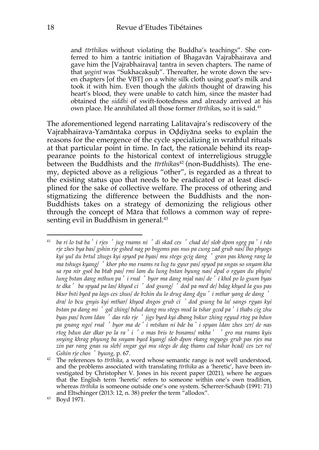and *tīrthika*s without violating the Buddha's teachings". She conferred to him a tantric initiation of Bhagavān Vajrabhairava and gave him the [Vajrabhairava] tantra in seven chapters. The name of that *yoginī* was "Sukhacakṣuḥ". Thereafter, he wrote down the seven chapters [of the VBT] on a white silk cloth using goat's milk and took it with him. Even though the *ḍakinī*s thought of drawing his heart's blood, they were unable to catch him, since the master had obtained the *siddhi* of swift-footedness and already arrived at his own place. He annihilated all those former *tīrthika*s, so it is said.41

The aforementioned legend narrating Lalitavajra's rediscovery of the Vajrabhairava-Yamāntaka corpus in Oḍḍiyāna seeks to explain the reasons for the emergence of the cycle specializing in wrathful rituals at that particular point in time. In fact, the rationale behind its reappearance points to the historical context of interreligious struggle between the Buddhists and the *tīrthikas*<sup>42</sup> (non-Buddhists). The enemy, depicted above as a religious "other", is regarded as a threat to the existing status quo that needs to be eradicated or at least disciplined for the sake of collective welfare. The process of othering and stigmatizing the difference between the Buddhists and the non-Buddhists takes on a strategy of demonizing the religious other through the concept of Māra that follows a common way of representing evil in Buddhism in general. 43

<sup>41</sup> *ba ri lo tsā ba*'*i rjes* '*jug rnams ni* '*di skad ces* '*chad de/ slob dpon sgeg pa*'*i rdo rje zhes bya bas/ gshin rje gshed nag po bsgoms pas nus pa cung zad grub nas/ lho phyogs kyi yul du brtul zhugs kyi spyod pa byas/ mu stegs gcig dang* '*gran pas khong rang la ma tshugs kyang/* '*khor pho mo rnams ra lug tu gyur pas/ spyod pa sngas so snyam kha sa rpa nir gsol ba btab pas/ rmi lam du lung bstan byung nas/ dpal o rgyan du phyin/ lung bstan dang mthun pa*'*i rnal* '*byor ma dang mjal nas/ de*'*i khol po lo gsum byas te dka*' *ba spyad pa las/ khyod ci* '*dod gsung/* '*dod pa med de/ bdag khyed la gus pas bkur bsti byed pa lags ces zhus/ de bzhin du lo drug dang dgu*'*i mthar yang de dang* ' *dra/ lo bcu gnyis kyi mthar/ khyod dngos grub ci* '*dod gsung ba la/ sangs rgyas kyi bstan pa dang mi* '*gal zhing/ bdud dang mu stegs mod la tshar gcod pa*'*i thabs cig zhu byas pas/ bcom ldan* '*das rdo rje* '*jigs byed kyi dbang bskur zhing rgyud rtog pa bdun pa gnang ngo/ rnal* '*byor ma de*'*i mtshan ni bde ba*'*i spyan ldan zhes zer/ de nas rtog bdun dar dkar po la ra*'*i* '*o mas bris te bsnams/ mkha*' '*gro ma rnams kyis snying khrag phyung ba snyam byed kyang/ slob dpon rkang mgyogs grub pas rjes ma zin par rang gnas su sleb/ sngar gyi mu stegs de dag thams cad tshar bcad/ ces zer ro/ Gshin rje chos* '*byung,* p. 67.

<sup>42</sup> The references to *tīrthika*, a word whose semantic range is not well understood, and the problems associated with translating *tīrthika* as a 'heretic', have been investigated by Christopher V. Jones in his recent paper (2021), where he argues that the English term 'heretic' refers to someone within one's own tradition, whereas *tīrthika* is someone outside one's one system. Scherrer-Schaub (1991: 71) and Eltschinger (2013: 12, n. 38) prefer the term "allodox".

<sup>43</sup> Boyd 1971.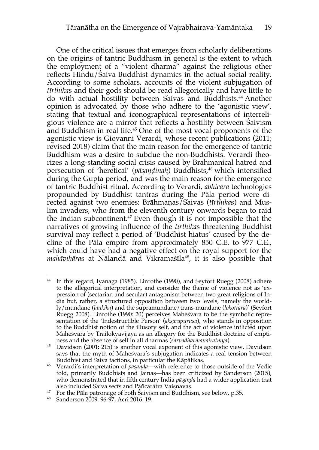One of the critical issues that emerges from scholarly deliberations on the origins of tantric Buddhism in general is the extent to which the employment of a "violent dharma" against the religious other reflects Hindu/Śaiva-Buddhist dynamics in the actual social reality. According to some scholars, accounts of the violent subjugation of *tīrthika*s and their gods should be read allegorically and have little to do with actual hostility between Śaivas and Buddhists.44 Another opinion is advocated by those who adhere to the 'agonistic view', stating that textual and iconographical representations of interreligious violence are a mirror that reflects a hostility between Śaivism and Buddhism in real life. <sup>45</sup> One of the most vocal proponents of the agonistic view is Giovanni Verardi, whose recent publications (2011; revised 2018) claim that the main reason for the emergence of tantric Buddhism was a desire to subdue the non-Buddhists. Verardi theorizes a long-standing social crisis caused by Brahmanical hatred and persecution of 'heretical' (*pāsạ ṇḍinah*)*̣* Buddhists, <sup>46</sup> which intensified during the Gupta period, and was the main reason for the emergence of tantric Buddhist ritual. According to Verardi, *abhicāra* technologies propounded by Buddhist tantras during the Pāla period were directed against two enemies: Brāhmaṇas/Saivas ( ́ *tīrthika*s) and Muslim invaders, who from the eleventh century onwards began to raid the Indian subcontinent.<sup>47</sup> Even though it is not impossible that the narratives of growing influence of the *tīrthika*s threatening Buddhist survival may reflect a period of 'Buddhist hiatus' caused by the decline of the Pāla empire from approximately 850 C.E. to 977 C.E., which could have had a negative effect on the royal support for the *mahāvihāras* at Nālandā and Vikramaśīla<sup>48</sup>, it is also possible that

<sup>44</sup> In this regard, Iyanaga (1985), Linrothe (1990), and Seyfort Ruegg (2008) adhere to the allegorical interpretation, and consider the theme of violence not as 'expression of (sectarian and secular) antagonism between two great religions of India but, rather, a structured opposition between two levels, namely the worldly/mundane (*laukika*) and the supramundane/trans-mundane (*lokottara*)' (Seyfort Ruegg 2008). Linrothe (1990: 20) perceives Mahesvara to be the symbolic repre- ́ sentation of the 'Indestructible Person' (*akṣarapuruṣa*), who stands in opposition to the Buddhist notion of the illusory self, and the act of violence inflicted upon Maheśvara by Trailokyavijaya as an allegory for the Buddhist doctrine of emptiness and the absence of self in all dharmas (*sarvadharmanairātmya*).

<sup>45</sup> Davidson (2001: 215) is another vocal exponent of this agonistic view. Davidson says that the myth of Mahesvara's subjugation indicates a real tension between Buddhist and Śaiva factions, in particular the Kāpālikas.

<sup>46</sup> Verardi's interpretation of *pāṣaṇḍa*—with reference to those outside of the Vedic fold, primarily Buddhists and Jainas—has been criticized by Sanderson (2015), who demonstrated that in fifth century India *pāṣaṇḍa* had a wider application that also included Saiva sects and Pāñcarātra Vaisnavas.

<sup>&</sup>lt;sup>47</sup> For the Pāla patronage of both Śaivism and Buddhism, see below, p.35.

<sup>48</sup> Sanderson 2009: 96-97; Acri 2016: 19.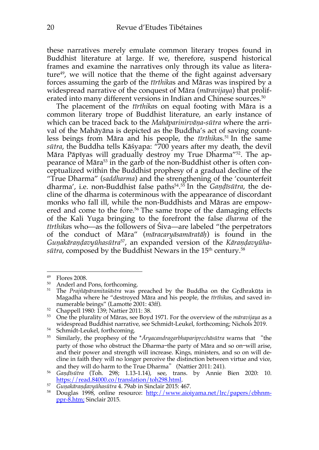these narratives merely emulate common literary tropes found in Buddhist literature at large. If we, therefore, suspend historical frames and examine the narratives only through its value as literature $49$ , we will notice that the theme of the fight against adversary forces assuming the garb of the *tīrthika*s and Māras was inspired by a widespread narrative of the conquest of Māra (*māravijaya*) that proliferated into many different versions in Indian and Chinese sources. 50

The placement of the *tīrthika*s on equal footing with Māra is a common literary trope of Buddhist literature, an early instance of which can be traced back to the *Mahāparinirvāṇa-sūtra* where the arrival of the Mahāyāna is depicted as the Buddha's act of saving countless beings from Māra and his people, the *tīrthika*s.51 In the same *sūtra*, the Buddha tells Kāśyapa: "700 years after my death, the devil Māra Pāpīyas will gradually destroy my True Dharma"52. The appearance of Māra<sup>53</sup> in the garb of the non-Buddhist other is often conceptualized within the Buddhist prophesy of a gradual decline of the "True Dharma" (*saddharma*) and the strengthening of the 'counterfeit dharma', i.e. non-Buddhist false paths54. <sup>55</sup> In the *Gaṇḍīsūtra*, the decline of the dharma is coterminous with the appearance of discordant monks who fall ill, while the non-Buddhists and Māras are empowered and come to the fore.<sup>56</sup> The same trope of the damaging effects of the Kali Yuga bringing to the forefront the false *dharma* of the *tīrthika*s who—as the followers of Śiva—are labeled "the perpetrators of the conduct of Māra" (*māracaryāsamāratāḥ*) is found in the *Guṇakāraṇḍavyūhasūtra*57, an expanded version of the *Kāraṇḍavyūhasūtra*, composed by the Buddhist Newars in the 15<sup>th</sup> century.<sup>58</sup>

<sup>49</sup> Flores 2008.

<sup>50</sup> Anderl and Pons, forthcoming.

<sup>51</sup> The *Prajñāpāramitaśāstra* was preached by the Buddha on the Gṛdhrakūṭa in Magadha where he "destroyed Māra and his people, the *tīrthika*s, and saved innumerable beings" (Lamotte 2001: 43ff).

<sup>52</sup> Chappell 1980: 139; Nattier 2011: 38.

<sup>53</sup> One the plurality of Māras, see Boyd 1971. For the overview of the *māravijaya* as a widespread Buddhist narrative, see Schmidt-Leukel, forthcoming; Nichols 2019. 54 Schmidt-Leukel, forthcoming.

<sup>55</sup> Similarly, the prophesy of the \**Āryacandragarbhaparipṛcchāsūtra* warns that "the party of those who obstruct the Dharma—the party of Māra and so on—will arise, and their power and strength will increase. Kings, ministers, and so on will decline in faith they will no longer perceive the distinction between virtue and vice,

and they will do harm to the True Dharma" (Nattier 2011: 241). 56 *Gaṇḍīsūtra* (Toh. 298; 1.13-1.14), see, trans. by Annie Bien 2020: 10. https://read.84000.co/translation/toh298.html.

<sup>57</sup> *Guṇakāraṇḍavyūhasūtra* 4. 79ab in Sinclair 2015: 467.

<sup>&</sup>lt;sup>58</sup> Douglas 1998, online resource: http://www.aioiyama.net/lrc/papers/cbhnmppr-8.htm; Sinclair 2015.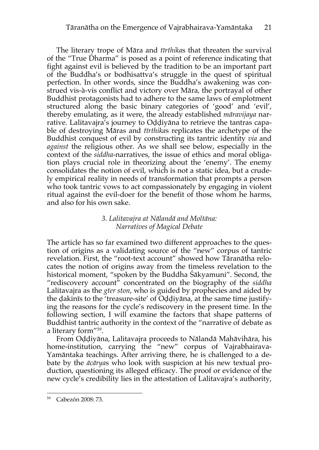The literary trope of Māra and *tīrthika*s that threaten the survival of the "True Dharma" is posed as a point of reference indicating that fight against evil is believed by the tradition to be an important part of the Buddha's or bodhisattva's struggle in the quest of spiritual perfection. In other words, since the Buddha's awakening was construed vis-à-vis conflict and victory over Māra, the portrayal of other Buddhist protagonists had to adhere to the same laws of emplotment structured along the basic binary categories of 'good' and 'evil', thereby emulating, as it were, the already established *māravijaya* narrative. Lalitavajra's journey to Oḍḍiyāna to retrieve the tantras capable of destroying Māras and *tīrthika*s replicates the archetype of the Buddhist conquest of evil by constructing its tantric identity *via* and *against* the religious other. As we shall see below, especially in the context of the *siddha*-narratives, the issue of ethics and moral obligation plays crucial role in theorizing about the 'enemy'. The enemy consolidates the notion of evil, which is not a static idea, but a crudely empirical reality in needs of transformation that prompts a person who took tantric vows to act compassionately by engaging in violent ritual against the evil-doer for the benefit of those whom he harms, and also for his own sake.

## *3. Lalitavajra at Nālandā and Moltāna: Narratives of Magical Debate*

The article has so far examined two different approaches to the question of origins as a validating source of the "new" corpus of tantric revelation. First, the "root-text account" showed how Tāranātha relocates the notion of origins away from the timeless revelation to the historical moment, "spoken by the Buddha Śākyamuni". Second, the "rediscovery account" concentrated on the biography of the *siddha* Lalitavajra as the *gter ston*, who is guided by prophecies and aided by the ḍakinīs to the 'treasure-site' of Oḍḍiyāna, at the same time justifying the reasons for the cycle's rediscovery in the present time. In the following section, I will examine the factors that shape patterns of Buddhist tantric authority in the context of the "narrative of debate as a literary form"59.

From Oḍḍiyāna, Lalitavajra proceeds to Nālandā Mahāvihāra, his home-institution, carrying the "new" corpus of Vajrabhairava-Yamāntaka teachings. After arriving there, he is challenged to a debate by the *ācārya*s who look with suspicion at his new textual production, questioning its alleged efficacy. The proof or evidence of the new cycle's credibility lies in the attestation of Lalitavajra's authority,

<sup>59</sup> Cabezón 2008: 73.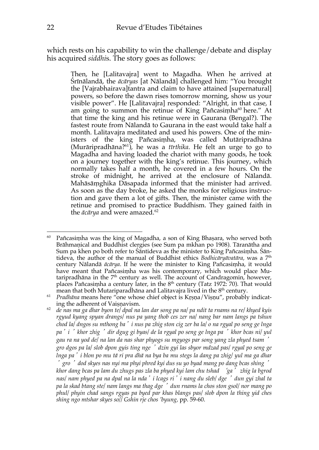which rests on his capability to win the challenge/debate and display his acquired *siddhi*s. The story goes as follows:

> Then, he [Lalitavajra] went to Magadha. When he arrived at Śrīnālandā, the *ācāryas* [at Nālandā] challenged him: "You brought the [Vajrabhairava]tantra and claim to have attained [supernatural] powers, so before the dawn rises tomorrow morning, show us your visible power". He [Lalitavajra] responded: "Alright, in that case, I am going to summon the retinue of King Pañcasimha<sup>60</sup> here." At that time the king and his retinue were in Gaurana (Bengal?). The fastest route from Nālandā to Gaurana in the east would take half a month. Lalitavajra meditated and used his powers. One of the ministers of the king Pañcasiṃha, was called Mutāripradhāna (Murāripradhāna?61), he was a *tīrthika*. He felt an urge to go to Magadha and having loaded the chariot with many goods, he took on a journey together with the king's retinue. This journey, which normally takes half a month, he covered in a few hours. On the stroke of midnight, he arrived at the enclosure of Nālandā. Mahāsāṃghika Dāsapada informed that the minister had arrived. As soon as the day broke, he asked the monks for religious instruction and gave them a lot of gifts. Then, the minister came with the retinue and promised to practice Buddhism. They gained faith in the *ācārya* and were amazed.62

<sup>60</sup> Pañcasiṃha was the king of Magadha, a son of King Bhaṣara, who served both Brāhmaṇical and Buddhist clergies (see Sum pa mkhan po 1908). Tāranātha and Sum pa khen po both refer to Śāntideva as the minister to King Pañcasiṃha. Śāntideva, the author of the manual of Buddhist ethics *Bodhicāryāvatāra,* was a 7th century Nālandā *ācārya*. If he were the minister to King Pañcasiṃha, it would have meant that Pañcasiṃha was his contemporary, which would place Mutaripradhāna in the  $7<sup>th</sup>$  century as well. The account of Candragomin, however, places Pañcasiṃha a century later, in the  $8<sup>th</sup>$  century (Tatz 1972: 70). That would mean that both Mutariparadhāna and Lalitavajra lived in the  $8<sup>th</sup>$  century.

<sup>&</sup>lt;sup>61</sup> Pradhāna means here "one whose chief object is Kṛṣṇa/Viṣṇu", probably indicating the adherent of Vaiṣṇavism.

<sup>62</sup> *de nas ma ga dhar byon te/ dpal na lan dar song pa na/ pa ndit ta rnams na re/ khyed kyis rgyud kyang spyan drangs/ nus pa yang thob ces zer na/ nang bar nam langs pa tshun chod la/ dngos su mthong ba*'*i nus pa zhig ston cig zer ba la/ o na rgyal po seng ge lnga pa*'*i* '*khor zhig* '*dir dgug gi byas/ de la rgyal po seng ge lnga pa* '*khor bcas ni/ yul gau ra na yod de/ na lan da nas shar phyogs su mgyogs par song yang zla phyed tsam* ' *gro dgos pa la/ slob dpon gyis ting nge* '*dzin gyi las sbyor mdzad pas/ rgyal po seng ge lnga pa*'*i blon po mu tā ri pra dhā na bya ba mu stegs la dang pa zhig/ yul ma ga dhar*  '*gro* '*dod skyes nas nyi ma phyi phred kyi dus su yo byad mang po dang bcas shing* ' *khor dang bcas pa lam du zhugs pas zla ba phyed kyi lam chu tshad* '*ga*' *zhig la bgrod* 

*nas/ nam phyed pa na dpal na la nda*'*i lcags ri*'*i nang du sleb/ dge* '*dun gyi zhal ta pa la skad btang ste/ nam langs ma thag dge* '*dun rnams la chos ston gsol/ nor mang po phul/ phyin chad sangs rgyas pa byed par khas blangs pas/ slob dpon la thing yid ches shing ngo mtshar skyes so// Gshin rje chos 'byung,* pp. 59-60.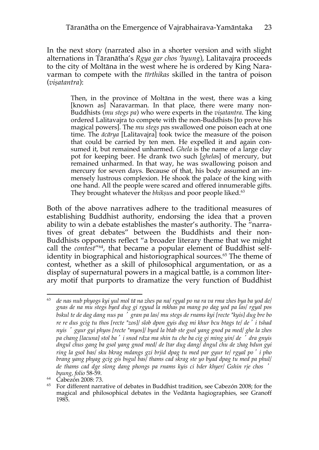In the next story (narrated also in a shorter version and with slight alternations in Tāranātha's *Rgya gar chos 'byung*), Lalitavajra proceeds to the city of Moltāna in the west where he is ordered by King Naravarman to compete with the *tīrthikas* skilled in the tantra of poison (*viṣatantra*):

> Then, in the province of Moltāna in the west, there was a king [known as] Naravarman. In that place, there were many non-Buddhists (*mu stegs pa*) who were experts in the *viṣatantra*. The king ordered Lalitavajra to compete with the non-Buddhists [to prove his magical powers]. The *mu stegs pa*s swallowed one poison each at one time. The *ācārya* [Lalitavajra] took twice the measure of the poison that could be carried by ten men. He expelled it and again consumed it, but remained unharmed. *Ghela* is the name of a large clay pot for keeping beer. He drank two such [*ghela*s] of mercury, but remained unharmed. In that way, he was swallowing poison and mercury for seven days. Because of that, his body assumed an immensely lustrous complexion. He shook the palace of the king with one hand. All the people were scared and offered innumerable gifts. They brought whatever the *bhikṣu*s and poor people liked.63

Both of the above narratives adhere to the traditional measures of establishing Buddhist authority, endorsing the idea that a proven ability to win a debate establishes the master's authority. The "narratives of great debates" between the Buddhists and their non-Buddhists opponents reflect "a broader literary theme that we might call the *contest*"64, that became a popular element of Buddhist selfidentity in biographical and historiographical sources.<sup>65</sup> The theme of contest, whether as a skill of philosophical argumentation, or as a display of supernatural powers in a magical battle, is a common literary motif that purports to dramatize the very function of Buddhist

<sup>63</sup> *de nas nub phyogs kyi yul mol tā na zhes pa na/ rgyal po na ra va rma zhes bya ba yod de/ gnas de na mu stegs byed dug gi rgyud la mkhas pa mang po dag yod pa las/ rgyal pos bskul te de dag dang nus pa* '*gran pa las/ mu stegs de rnams kyi [recte \*kyis] dug bre bo re re dus gcig tu thos [recte \*zos]/ slob dpon gyis dug mi khur bcu btags te/ de*'*i tshad nyis* '*gyur gyi phyos [recte \*myos]/ byed la btab ste gsol yang gnod pa med/ ghe la zhes pa chang [lacuna] stol ba*'*i snod rdza ma shin tu che ba cig gi ming yin/ de* '*dra gnyis dngul chus gang ba gsol yang gnod med/ de ltar dug dang/ dngul chu de zhag bdun gyi ring la gsol bas/ sku bkrag mdangs gzi brjid dpag tu med par gyur te/ rgyal po*'*i pho brang yang phyag gcig gis bsgul bas/ thams cad skrag ste yo byad dpag tu med pa phul/ de thams cad dge slong dang phongs pa rnams kyis ci bder khyer/ Gshin rje chos* '

*byung, folio* 58-59. 64 Cabezón 2008: 73.

<sup>65</sup> For different narrative of debates in Buddhist tradition, see Cabezón 2008; for the magical and philosophical debates in the Vedānta hagiographies, see Granoff 1985.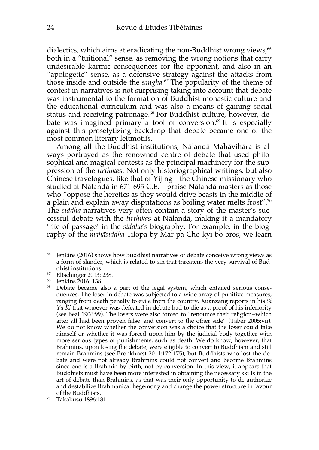dialectics, which aims at eradicating the non-Buddhist wrong views,<sup>66</sup> both in a "tuitional" sense, as removing the wrong notions that carry undesirable karmic consequences for the opponent, and also in an "apologetic" sense, as a defensive strategy against the attacks from those inside and outside the *saṅgha. <sup>67</sup>* The popularity of the theme of contest in narratives is not surprising taking into account that debate was instrumental to the formation of Buddhist monastic culture and the educational curriculum and was also a means of gaining social status and receiving patronage. <sup>68</sup> For Buddhist culture, however, debate was imagined primary a tool of conversion.69 It is especially against this proselytizing backdrop that debate became one of the most common literary leitmotifs.

Among all the Buddhist institutions, Nālandā Mahāvihāra is always portrayed as the renowned centre of debate that used philosophical and magical contests as the principal machinery for the suppression of the *tīrthika*s. Not only historiographical writings, but also Chinese travelogues, like that of Yijing—the Chinese missionary who studied at Nālandā in 671-695 C.E.—praise Nālandā masters as those who "oppose the heretics as they would drive beasts in the middle of a plain and explain away disputations as boiling water melts frost".<sup>70</sup> The *siddha*-narratives very often contain a story of the master's successful debate with the *tīrthika*s at Nālandā, making it a mandatory 'rite of passage' in the *siddha*'s biography. For example, in the biography of the *mahāsiddha* Tilopa by Mar pa Cho kyi bo bros, we learn

<sup>66</sup> Jenkins (2016) shows how Buddhist narratives of debate conceive wrong views as a form of slander, which is related to sin that threatens the very survival of Buddhist institutions. 67 Eltschinger 2013: 238.

<sup>68</sup> Jenkins 2016: 138.

<sup>&</sup>lt;sup>69</sup> Debate became also a part of the legal system, which entailed serious consequences. The loser in debate was subjected to a wide array of punitive measures, ranging from death penalty to exile from the country. Xuanzang reports in his *Si Yu Ki* that whoever was defeated in debate had to die as a proof of his inferiority (see Beal 1906:99). The losers were also forced to "renounce their religion−which after all had been proven false−and convert to the other side" (Taber 2005:vii). We do not know whether the conversion was a choice that the loser could take himself or whether it was forced upon him by the judicial body together with more serious types of punishments, such as death. We do know, however, that Brahmins, upon losing the debate, were eligible to convert to Buddhism and still remain Brahmins (see Bronkhorst 2011:172-175), but Buddhists who lost the debate and were not already Brahmins could not convert and become Brahmins since one is a Brahmin by birth, not by conversion. In this view, it appears that Buddhists must have been more interested in obtaining the necessary skills in the art of debate than Brahmins, as that was their only opportunity to de-authorize and destabilize Brāhmaṇical hegemony and change the power structure in favour of the Buddhists.

<sup>70</sup> Takakusu 1896:181.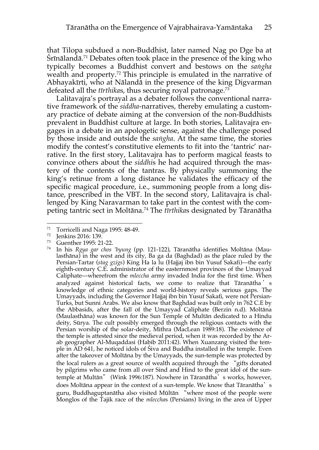that Tilopa subdued a non-Buddhist, later named Nag po Dge ba at Śrīnālandā. <sup>71</sup> Debates often took place in the presence of the king who typically becomes a Buddhist convert and bestows on the *saṅgha* wealth and property. <sup>72</sup> This principle is emulated in the narrative of Abhayakīrti, who at Nālandā in the presence of the king Digvarman defeated all the *tīrthika*s, thus securing royal patronage. 73

Lalitavajra's portrayal as a debater follows the conventional narrative framework of the *siddha*-narratives, thereby emulating a customary practice of debate aiming at the conversion of the non-Buddhists prevalent in Buddhist culture at large. In both stories, Lalitavajra engages in a debate in an apologetic sense, against the challenge posed by those inside and outside the *saṅgha*. At the same time, the stories modify the contest's constitutive elements to fit into the 'tantric' narrative. In the first story, Lalitavajra has to perform magical feasts to convince others about the *siddhi*s he had acquired through the mastery of the contents of the tantras. By physically summoning the king's retinue from a long distance he validates the efficacy of the specific magical procedure, i.e., summoning people from a long distance, prescribed in the VBT. In the second story, Lalitavajra is challenged by King Naravarman to take part in the contest with the competing tantric sect in Moltāna.74 The *tīrthika*s designated by Tāranātha

 $\frac{71}{72}$  Torricelli and Naga 1995: 48-49.

 $\frac{72}{73}$  Jenkins 2016: 139.

Guenther 1995: 21-22.

<sup>74</sup> In his *Rgya gar chos 'byung* (pp. 121-122), Tāranātha identifies Moltāna (Maulasthāna) in the west and its city, Ba ga da (Baghdad) as the place ruled by the Persian-Tartar (*stag gzigs*) King Ha la lu (Hajjaj ibn bin Yusuf Sakafi)—the early eighth-century C.E. administrator of the easternmost provinces of the Umayyad Caliphate—wherefrom the *mleccha* army invaded India for the first time. When analyzed against historical facts, we come to realize that Tāranātha ' s knowledge of ethnic categories and world-history reveals serious gaps. The Umayyads, including the Governor Hajjaj ibn bin Yusuf Sakafi, were not Persian-Turks, but Sunni Arabs. We also know that Baghdad was built only in 762 C.E by the Abbasids, after the fall of the Umayyad Caliphate (Berzin n.d). Moltāna (Maulasthāna) was known for the Sun Temple of Multān dedicated to a Hindu deity, Sūrya. The cult possibly emerged through the religious contacts with the Persian worship of the solar-deity, Mithra (MacLean 1989:18). The existence of the temple is attested since the medieval period, when it was recorded by the Arab geographer Al-Muqaddasi (Habib 2011:42). When Xuanzang visited the temple in AD 641, he noticed idols of Śiva and Buddha installed in the temple. Even after the takeover of Moltāna by the Umayyads, the sun-temple was protected by the local rulers as a great source of wealth acquired through the "gifts donated by pilgrims who came from all over Sind and Hind to the great idol of the suntemple at Multān" (Wink 1996:187). Nowhere in Tāranātha's works, however, does Moltāna appear in the context of a sun-temple. We know that Tāranātha's guru, Buddhaguptanātha also visited Mūltān "where most of the people were Monglos of the Tajik race of the *mleccha*s (Persians) living in the area of Upper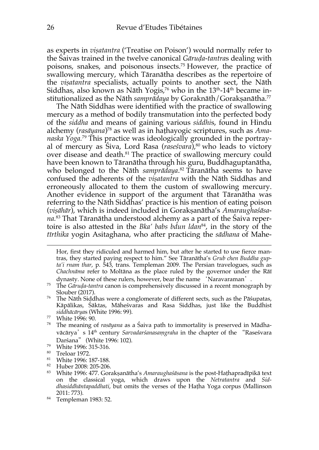as experts in *viṣatantra* ('Treatise on Poison') would normally refer to the Śaivas trained in the twelve canonical *Gāruḍa-tantra*s dealing with poisons, snakes, and poisonous insects.75 However, the practice of swallowing mercury, which Tāranātha describes as the repertoire of the *viṣatantra* specialists, actually points to another sect, the Nāth Siddhas, also known as Nāth Yogis,<sup>76</sup> who in the 13<sup>th</sup>-14<sup>th</sup> became institutionalized as the Nāth *samprādaya* by Goraknāth/Gorakṣanātha. 77

The Nāth Siddhas were identified with the practice of swallowing mercury as a method of bodily transmutation into the perfected body of the *siddha* and means of gaining various *siddhi*s, found in Hindu alchemy (*rasāyana*)78 as well as in haṭhayogic scriptures, such as *Amanaska Yoga.* <sup>79</sup> This practice was ideologically grounded in the portrayal of mercury as Siva, Lord Rasa (*rasesvara*),<sup>80</sup> who leads to victory over disease and death. <sup>81</sup> The practice of swallowing mercury could have been known to Tāranātha through his guru, Buddhaguptanātha, who belonged to the Nāth *samprādaya*. <sup>82</sup> Tāranātha seems to have confused the adherents of the *viṣatantra* with the Nāth Siddhas and erroneously allocated to them the custom of swallowing mercury. Another evidence in support of the argument that Tāranātha was referring to the Nāth Siddhas' practice is his mention of eating poison (*viṣāhār*), which is indeed included in Gorakṣanātha's *Amaraughaśāsana.* <sup>83</sup> That Tāranātha understood alchemy as a part of the Śaiva repertoire is also attested in the *Bka' babs bdun ldan*84, in the story of the *tīrthika* yogin Asitaghana, who after practicing the *sādhana* of Mahe-

<sup>79</sup> White 1996: 315-316.

- <sup>81</sup> White 1996: 187-188.
- <sup>82</sup> Huber 2008: 205-206.

<sup>84</sup> Templeman 1983: 52.

Hor, first they ridiculed and harmed him, but after he started to use fierce mantras, they started paying respect to him." See Tāranātha's *Grub chen Buddha gupta'i rnam thar*, p. 543, trans. Templeman 2009. The Persian travelogues, such as *Chachnāma* refer to Moltāna as the place ruled by the governor under the Rāī dynasty. None of these rulers, however, bear the name 'Naravaraman'.

<sup>75</sup> The *Gāruḍa-tantra* canon is comprehensively discussed in a recent monograph by

Slouber (2017). Slouber (2017).  $76$  The Nāth Siddhas were a conglomerate of different sects, such as the Pāśupatas, Kāpālikas, Śāktas, Māheśvaras and Rasa Siddhas, just like the Buddhist *siddhācārya*s (White 1996: 99). 77 White 1996: 90.

<sup>78</sup> The meaning of *rasāyana* as a Śaiva path to immortality is preserved in Mādhavācārya's 14th century *Sarvadarśanasaṃgraha* in the chapter of the "Raseśvara Darśana" (White 1996: 102).

<sup>80</sup> Treloar 1972.

<sup>83</sup> White 1996: 477. Gorakṣanātha's *Amaraughaśāsana* is the post-Haṭhapradīpikā text on the classical yoga, which draws upon the *Netratantra* and *Siddhasiddhāntapaddhati*, but omits the verses of the Haṭha Yoga corpus (Mallinson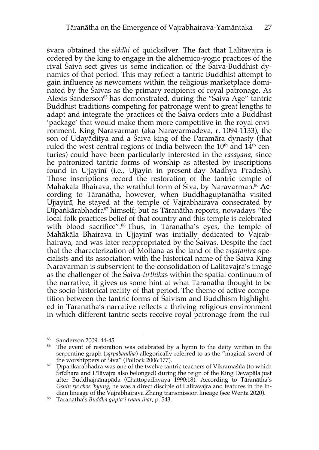śvara obtained the *siddhi* of quicksilver. The fact that Lalitavajra is ordered by the king to engage in the alchemico-yogic practices of the rival Śaiva sect gives us some indication of the Śaiva-Buddhist dynamics of that period. This may reflect a tantric Buddhist attempt to gain influence as newcomers within the religious marketplace dominated by the Śaivas as the primary recipients of royal patronage. As Alexis Sanderson<sup>85</sup> has demonstrated, during the "Saiva Age" tantric Buddhist traditions competing for patronage went to great lengths to adapt and integrate the practices of the Śaiva orders into a Buddhist 'package' that would make them more competitive in the royal environment. King Naravarman (aka Naravarmadeva, r. 1094-1133), the son of Udayāditya and a Śaiva king of the Paramāra dynasty (that ruled the west-central regions of India between the  $10<sup>th</sup>$  and  $14<sup>th</sup>$  centuries) could have been particularly interested in the *rasāyana*, since he patronized tantric forms of worship as attested by inscriptions found in Ujjayinī (i.e., Ujjayin in present-day Madhya Pradesh). Those inscriptions record the restoration of the tantric temple of Mahākāla Bhairava, the wrathful form of Śiva, by Naravarman.<sup>86</sup> According to Tāranātha, however, when Buddhaguptanātha visited Ujjayinī, he stayed at the temple of Vajrabhairava consecrated by  $D\bar{p}$ ankārabhadra<sup>87</sup> himself; but as Tāranātha reports, nowadays "the local folk practices belief of that country and this temple is celebrated with blood sacrifice".<sup>88</sup> Thus, in Tāranātha's eyes, the temple of Mahākāla Bhairava in Ujjayinī was initially dedicated to Vajrabhairava, and was later reappropriated by the Śaivas. Despite the fact that the characterization of Moltāna as the land of the *viṣatantra* specialists and its association with the historical name of the Śaiva King Naravarman is subservient to the consolidation of Lalitavajra's image as the challenger of the Śaiva-*tīrthika*s within the spatial continuum of the narrative, it gives us some hint at what Tāranātha thought to be the socio-historical reality of that period. The theme of active competition between the tantric forms of Śaivism and Buddhism highlighted in Tāranātha's narrative reflects a thriving religious environment in which different tantric sects receive royal patronage from the rul-

<sup>85</sup> Sanderson 2009: 44-45.

<sup>&</sup>lt;sup>86</sup> The event of restoration was celebrated by a hymn to the deity written in the serpentine graph (*sarpabandha*) allegorically referred to as the "magical sword of the worshippers of Śiva" (Pollock 2006:177).

<sup>87</sup> Dīpaṅkarabhadra was one of the twelve tantric teachers of Vikramaśīla (to which Śrīdhara and Līlāvajra also belonged) during the reign of the King Devapāla just after Buddhajñānapāda (Chattopadhyaya 1990:18). According to Tāranātha's *Gshin rje chos 'byung*, he was a direct disciple of Lalitavajra and features in the Indian lineage of the Vajrabhairava Zhang transmission lineage (see Wenta 2020).

<sup>88</sup> Tāranātha's *Buddha gupta'i rnam thar*, p. 543.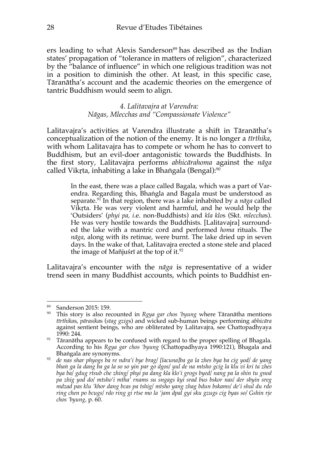ers leading to what Alexis Sanderson<sup>89</sup> has described as the Indian states' propagation of "tolerance in matters of religion", characterized by the "balance of influence" in which one religious tradition was not in a position to diminish the other. At least, in this specific case, Tāranātha's account and the academic theories on the emergence of tantric Buddhism would seem to align.

> *4. Lalitavajra at Varendra: Nāgas, Mlecchas and "Compassionate Violence"*

Lalitavajra's activities at Varendra illustrate a shift in Tāranātha's conceptualization of the notion of the enemy. It is no longer a *tīrthika*, with whom Lalitavajra has to compete or whom he has to convert to Buddhism, but an evil-doer antagonistic towards the Buddhists. In the first story, Lalitavajra performs *abhicārahoma* against the *nāga* called Vikṛta, inhabiting a lake in Bhaṅgala (Bengal): 90

> In the east, there was a place called Bagala, which was a part of Varendra. Regarding this, Bhaṅgla and Bagala must be understood as separate.91 In that region, there was a lake inhabited by a *nāga* called Vikṛta. He was very violent and harmful, and he would help the 'Outsiders' (*phyi pa, i*.e. non-Buddhists) and *kla klo*s (Skt. *mleccha*s). He was very hostile towards the Buddhists. [Lalitavajra] surrounded the lake with a mantric cord and performed *homa* rituals. The *nāga*, along with its retinue, were burnt. The lake dried up in seven days. In the wake of that, Lalitavajra erected a stone stele and placed the image of Mañjuśrī at the top of it.<sup>92</sup>

Lalitavajra's encounter with the *nāga* is representative of a wider trend seen in many Buddhist accounts, which points to Buddhist en-

<sup>89</sup> Sanderson 2015: 159.

<sup>90</sup> This story is also recounted in *Rgya gar chos 'byung* where Tāranātha mentions *tīrthika*s, *pārasika*s (*stag gzig*s) and wicked sub-human beings performing *abhicāra* against sentient beings, who are obliterated by Lalitavajra, see Chattopadhyaya 1990: 244.

 $91$  Tāranātha appears to be confused with regard to the proper spelling of Bhagala. According to his *Rgya gar chos 'byung* (Chattopadhyaya 1990:121), Bhagala and Bhaṅgala are synonyms.

<sup>92</sup> *de nas shar phyogs ba re ndra'i bye brag/ [lacuna]ba ga la zhes bya ba cig yod/ de yang bhaṅ ga la dang ba ga la so so yin par go dgos/ yul de na mtsho gcig la klu vi kri ta zhes bya ba/ gdug rtsub che zhing/ phyi pa dang kla klo'i grogs byed/ nang pa la shin tu gnod pa zhig yod do/ mtsho'i mtha' rnams su sngags kyi srad bus bskor nas/ der sbyin sreg mdzad pas klu 'khor dang bcas pa tshig/ mtsho yang zhag bdun bskams/ de'i shul du rdo ring chen po bcugs/ rdo ring gi rtse mo la 'jam dpal gyi sku gzugs cig byas so/ Gshin rje chos 'byung,* p. 60.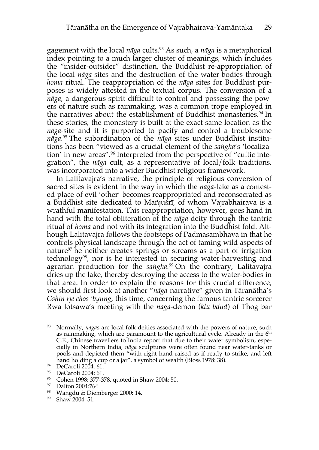gagement with the local *nāga* cults.93 As such, a *nāga* is a metaphorical index pointing to a much larger cluster of meanings, which includes the "insider-outsider" distinction, the Buddhist re-appropriation of the local *nāga* sites and the destruction of the water-bodies through *homa* ritual. The reappropriation of the *nāga* sites for Buddhist purposes is widely attested in the textual corpus. The conversion of a *nāga*, a dangerous spirit difficult to control and possessing the powers of nature such as rainmaking, was a common trope employed in the narratives about the establishment of Buddhist monasteries. <sup>94</sup> In these stories, the monastery is built at the exact same location as the *nāga*-site and it is purported to pacify and control a troublesome *nāga.* <sup>95</sup> The subordination of the *nāga* sites under Buddhist institutions has been "viewed as a crucial element of the *saṅgha*'s 'localization' in new areas". <sup>96</sup> Interpreted from the perspective of "cultic integration", the *nāga* cult, as a representative of local/folk traditions, was incorporated into a wider Buddhist religious framework.

In Lalitavajra's narrative, the principle of religious conversion of sacred sites is evident in the way in which the *nāga*-lake as a contested place of evil 'other' becomes reappropriated and reconsecrated as a Buddhist site dedicated to Mañjuśrī, of whom Vajrabhairava is a wrathful manifestation. This reappropriation, however, goes hand in hand with the total obliteration of the *nāga*-deity through the tantric ritual of *homa* and not with its integration into the Buddhist fold. Although Lalitavajra follows the footsteps of Padmasambhava in that he controls physical landscape through the act of taming wild aspects of nature<sup>97</sup> he neither creates springs or streams as a part of irrigation technology<sup>98</sup>, nor is he interested in securing water-harvesting and agrarian production for the *saṅgha.* <sup>99</sup> On the contrary, Lalitavajra dries up the lake, thereby destroying the access to the water-bodies in that area. In order to explain the reasons for this crucial difference, we should first look at another "*nāga*-narrative" given in Tāranātha's *Gshin rje chos 'byung*, this time, concerning the famous tantric sorcerer Rwa lotsāwa's meeting with the *nāga*-demon (*klu bdud*) of Thog bar

<sup>93</sup> Normally, *nāga*s are local folk deities associated with the powers of nature, such as rainmaking, which are paramount to the agricultural cycle. Already in the 6<sup>th</sup> C.E., Chinese travellers to India report that due to their water symbolism, especially in Northern India, *nāga* sculptures were often found near water-tanks or pools and depicted them "with right hand raised as if ready to strike, and left hand holding a cup or a jar", a symbol of wealth (Bloss 1978: 38).

<sup>94</sup> DeCaroli 2004: 61.

<sup>95</sup> DeCaroli 2004: 61.

<sup>96</sup> Cohen 1998: 377-378, quoted in Shaw 2004: 50.

<sup>97</sup> Dalton 2004:764

<sup>98</sup> Wangdu & Diemberger 2000: 14.

<sup>99</sup> Shaw 2004: 51.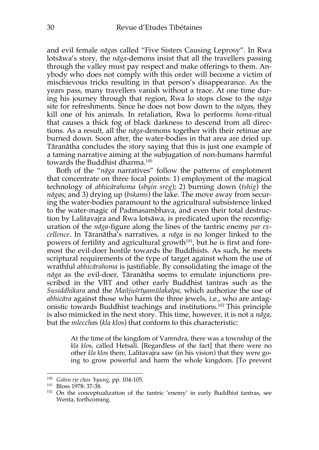and evil female *nāga*s called "Five Sisters Causing Leprosy". In Rwa lotsāwa's story, the *nāga*-demons insist that all the travellers passing through the valley must pay respect and make offerings to them. Anybody who does not comply with this order will become a victim of mischievous tricks resulting in that person's disappearance. As the years pass, many travellers vanish without a trace. At one time during his journey through that region, Rwa lo stops close to the *nāga* site for refreshments. Since he does not bow down to the *nāga*s, they kill one of his animals. In retaliation, Rwa lo performs *homa*-ritual that causes a thick fog of black darkness to descend from all directions. As a result, all the *nāga*-demons together with their retinue are burned down. Soon after, the water-bodies in that area are dried up. Tāranātha concludes the story saying that this is just one example of a taming narrative aiming at the subjugation of non-humans harmful towards the Buddhist dharma.<sup>100</sup>

Both of the "*nāga* narratives" follow the patterns of emplotment that concentrate on three focal points: 1) employment of the magical technology of *abhicārahoma* (*sbyin sreg*); 2) burning down (*tshig*) the *nāga*s; and 3) drying up (*bskams*) the lake. The move away from securing the water-bodies paramount to the agricultural subsistence linked to the water-magic of Padmasambhava, and even their total destruction by Lalitavajra and Rwa lotsāwa, is predicated upon the reconfiguration of the *nāga*-figure along the lines of the tantric enemy *par excellence*. In Tāranātha's narratives, a *nāga* is no longer linked to the powers of fertility and agricultural growth<sup>101</sup>, but he is first and foremost the evil-doer hostile towards the Buddhists. As such, he meets scriptural requirements of the type of target against whom the use of wrathful *abhicārahoma* is justifiable. By consolidating the image of the *nāga* as the evil-doer, Tāranātha seems to emulate injunctions prescribed in the VBT and other early Buddhist tantras such as the *Susiddhikara* and the *Mañjuśrīyamūlakalpa*, which authorize the use of *abhicāra* against those who harm the three jewels, i.e., who are antagonistic towards Buddhist teachings and institutions.102 This principle is also mimicked in the next story. This time, however, it is not a *nāga*, but the *mleccha*s (*kla klo*s) that conform to this characteristic:

> At the time of the kingdom of Varendra, there was a township of the *kla klo*s, called Hetsali. [Regardless of the fact] that there were no other *kla klo*s there, Lalitavajra saw (in his vision) that they were going to grow powerful and harm the whole kingdom. [To prevent

<sup>100</sup> *Gshin rje chos 'byung*, pp. 104-105.

<sup>101</sup> Bloss 1978: 37-38.

<sup>&</sup>lt;sup>102</sup> On the conceptualization of the tantric 'enemy' in early Buddhist tantras, see Wenta, forthcoming.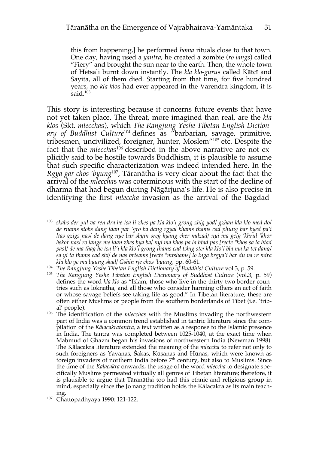this from happening,] he performed *homa* rituals close to that town. One day, having used a *yantra*, he created a zombie (*ro langs*) called "Fiery" and brought the sun near to the earth. Then, the whole town of Hetsali burnt down instantly. The *kla klo-guru*s called Kātcī and Sayita, all of them died. Starting from that time, for five hundred years, no *kla klo*s had ever appeared in the Varendra kingdom, it is said. $103$ 

This story is interesting because it concerns future events that have not yet taken place. The threat, more imagined than real, are the *kla klo*s (Skt. *mleccha*s), which *The Rangjung Yeshe Tibetan English Diction*ary of Buddhist Culture<sup>104</sup> defines as "barbarian, savage, primitive, tribesmen, uncivilized, foreigner, hunter, Moslem"105 etc. Despite the fact that the *mleccha*s<sup>106</sup> described in the above narrative are not explicitly said to be hostile towards Buddhism, it is plausible to assume that such specific characterization was indeed intended here. In the *Rgya gar chos 'byung*107, Tāranātha is very clear about the fact that the arrival of the *mleccha*s was coterminous with the start of the decline of dharma that had begun during Nāgārjuna's life. He is also precise in identifying the first *mleccha* invasion as the arrival of the Bagdad-

<sup>103</sup> *skabs der yul va ren dra he tsa li zhes pa kla klo'i grong zhig yod/ gzhan kla klo med do/ de rnams stobs dang ldan par 'gro ba dang rgyal khams thams cad phung bar byed pa'i ltas gzigs nas/ de dang nye bar sbyin sreg kyang cher mdzad/ nyi ma gcig 'khrul 'khor bskor nas/ ro langs me ldan zhes bya ba/ nyi ma khos pa la btad pas [recte \*khos sa la btad pas]/ de ma thag he tsa li'i kla klo'i grong thams cad tshig ste/ kla klo'i bla ma kā tcī dang/ sa yi ta thams cad shi/ de nas brtsams [recte \*mtshams] lo lnga brgya'i bar du va re ndra kla klo ye ma byung skad/ Gshin rje chos 'byung,* pp. 60-61.

<sup>104</sup> *The Rangjung Yeshe Tibetan English Dictionary of Buddhist Culture* vol.3, p. 59.

<sup>&</sup>lt;sup>105</sup> The Rangjung Yeshe Tibetan English Dictionary of Buddhist Culture (vol.3, p. 59) defines the word *kla klo* as "Islam, those who live in the thirty-two border countries such as loknatha, and all those who consider harming others an act of faith or whose savage beliefs see taking life as good." In Tibetan literature, these are often either Muslims or people from the southern borderlands of Tibet (i.e. 'tribal' people).

<sup>&</sup>lt;sup>106</sup> The identification of the *mlecchas* with the Muslims invading the northwestern part of India was a common trend established in tantric literature since the compilation of the *Kālacakratantra,* a text written as a response to the Islamic presence in India. The tantra was completed between 1025-1040, at the exact time when Maḥmud of Ghaznī began his invasions of northwestern India (Newman 1998). The Kālacakra literature extended the meaning of the *mleccha* to refer not only to such foreigners as Yavanas, Śakas, Kūṣaṇas and Hūṇas, which were known as foreign invaders of northern India before  $7<sup>th</sup>$  century, but also to Muslims. Since the time of the *Kālacakra* onwards, the usage of the word *mleccha* to designate specifically Muslims permeated virtually all genres of Tibetan literature; therefore, it is plausible to argue that Tāranātha too had this ethnic and religious group in mind, especially since the Jo nang tradition holds the Kālacakra as its main teach-

ing. 107 Chattopadhyaya 1990: 121-122.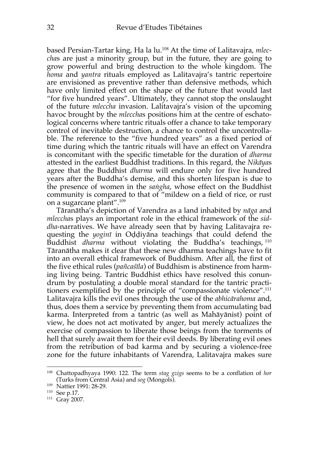based Persian-Tartar king, Ha la lu. <sup>108</sup> At the time of Lalitavajra, *mleccha*s are just a minority group, but in the future, they are going to grow powerful and bring destruction to the whole kingdom. The *homa* and *yantra* rituals employed as Lalitavajra's tantric repertoire are envisioned as preventive rather than defensive methods, which have only limited effect on the shape of the future that would last "for five hundred years". Ultimately, they cannot stop the onslaught of the future *mleccha* invasion. Lalitavajra's vision of the upcoming havoc brought by the *mleccha*s positions him at the centre of eschatological concerns where tantric rituals offer a chance to take temporary control of inevitable destruction, a chance to control the uncontrollable. The reference to the "five hundred years" as a fixed period of time during which the tantric rituals will have an effect on Varendra is concomitant with the specific timetable for the duration of *dharma*  attested in the earliest Buddhist traditions. In this regard, the *Nikāya*s agree that the Buddhist *dharma* will endure only for five hundred years after the Buddha's demise, and this shorten lifespan is due to the presence of women in the *saṅgha*, whose effect on the Buddhist community is compared to that of "mildew on a field of rice, or rust on a sugarcane plant". 109

Tāranātha's depiction of Varendra as a land inhabited by *nāga* and *mleccha*s plays an important role in the ethical framework of the *siddha*-narratives. We have already seen that by having Lalitavajra requesting the *yoginī* in Oḍḍiyāna teachings that could defend the Buddhist *dharma* without violating the Buddha's teachings, <sup>110</sup> Tāranātha makes it clear that these new dharma teachings have to fit into an overall ethical framework of Buddhism. After all, the first of the five ethical rules (*pañcaśīla*) of Buddhism is abstinence from harming living being. Tantric Buddhist ethics have resolved this conundrum by postulating a double moral standard for the tantric practitioners exemplified by the principle of "compassionate violence". 111 Lalitavajra kills the evil ones through the use of the *abhicārahoma* and, thus, does them a service by preventing them from accumulating bad karma. Interpreted from a tantric (as well as Mahāyānist) point of view, he does not act motivated by anger, but merely actualizes the exercise of compassion to liberate those beings from the torments of hell that surely await them for their evil deeds. By liberating evil ones from the retribution of bad karma and by securing a violence-free zone for the future inhabitants of Varendra, Lalitavajra makes sure

<sup>108</sup> Chattopadhyaya 1990: 122*.* The term *stag gzigs* seems to be a conflation of *hor* (Turks from Central Asia) and *sog* (Mongols). 109 Nattier 1991: 28-29.

<sup>110</sup> See p.17.

<sup>111</sup> Gray 2007.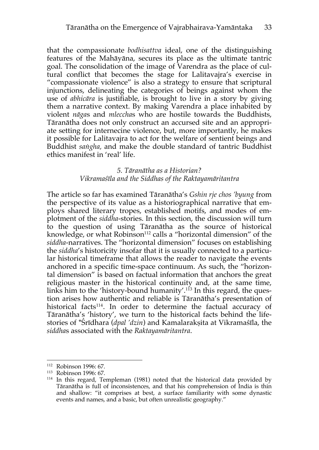that the compassionate *bodhisattva* ideal, one of the distinguishing features of the Mahāyāna, secures its place as the ultimate tantric goal. The consolidation of the image of Varendra as the place of cultural conflict that becomes the stage for Lalitavajra's exercise in "compassionate violence" is also a strategy to ensure that scriptural injunctions, delineating the categories of beings against whom the use of *abhicāra* is justifiable, is brought to live in a story by giving them a narrative context. By making Varendra a place inhabited by violent *nāga*s and *mleccha*s who are hostile towards the Buddhists, Tāranātha does not only construct an accursed site and an appropriate setting for internecine violence, but, more importantly, he makes it possible for Lalitavajra to act for the welfare of sentient beings and Buddhist *saṅgha,* and make the double standard of tantric Buddhist ethics manifest in 'real' life.

## *5. Tāranātha as a Historian? Vikramaśīla and the Siddhas of the Raktayamāritantra*

The article so far has examined Tāranātha's *Gshin rje chos 'byung* from the perspective of its value as a historiographical narrative that employs shared literary tropes, established motifs, and modes of emplotment of the *siddha*-stories. In this section, the discussion will turn to the question of using Tāranātha as the source of historical knowledge, or what Robinson<sup>112</sup> calls a "horizontal dimension" of the *siddha*-narratives. The "horizontal dimension" focuses on establishing the *siddha*'s historicity insofar that it is usually connected to a particular historical timeframe that allows the reader to navigate the events anchored in a specific time-space continuum. As such, the "horizontal dimension" is based on factual information that anchors the great religious master in the historical continuity and, at the same time, links him to the 'history-bound humanity'. <sup>113</sup> In this regard, the question arises how authentic and reliable is Tāranātha's presentation of historical facts<sup>114</sup>. In order to determine the factual accuracy of Tāranātha's 'history', we turn to the historical facts behind the lifestories of \*Śrīdhara (*dpal 'dzin*) and Kamalarakṣita at Vikramaśīla, the *siddha*s associated with the *Raktayamāritantra*.

<sup>112</sup> Robinson 1996: 67.

<sup>113</sup> Robinson 1996: 67.

<sup>114</sup> In this regard, Templeman (1981) noted that the historical data provided by Tāranātha is full of inconsistences, and that his comprehension of India is thin and shallow: "it comprises at best, a surface familiarity with some dynastic events and names, and a basic, but often unrealistic geography."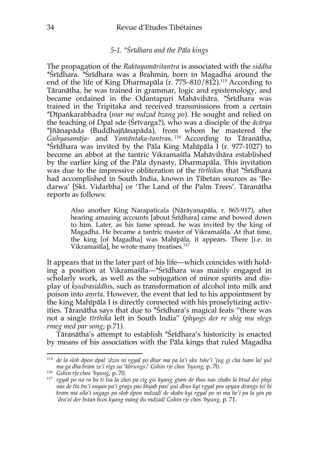## *5-1. \*Śrīdhara and the Pāla kings*

The propagation of the *Raktayamāritantra* is associated with the *siddha* \*Śrīdhara. \*Śrīdhara was a Brahmin, born in Magadha around the end of the life of King Dharmapāla (r. 775–810/812).115 According to Tāranātha, he was trained in grammar, logic and epistemology, and became ordained in the Oḍantapuri Mahāvihāra. \*Śrīdhara was trained in the Tripiṭaka and received transmissions from a certain \*Dīpaṅkarabhadra (*mar me mdzad bzang po*). He sought and relied on the teaching of Dpal sde (Śrīvarga?), who was a disciple of the *ācārya*  \*Jñānapāda (Buddhajñānapāda), from whom he mastered the *Guhyasamāja-* and *Yamāntaka-tantra*s. <sup>116</sup> According to Tāranātha, \*Śrīdhara was invited by the Pāla King Mahīpāla I (r. 977-1027) to become an abbot at the tantric Vikramaśīla Mahāvihāra established by the earlier king of the Pāla dynasty, Dharmapāla. This invitation was due to the impressive obliteration of the *tīrthika*s that \*Śrīdhara had accomplished in South India, known in Tibetan sources as 'Bedarwa' [Skt. Vidarbha] or 'The Land of the Palm Trees'. Tāranātha reports as follows:

> Also another King Narapaticala (Nārāyaṇapāla, r. 865-917), after hearing amazing accounts [about Śrīdhara] came and bowed down to him. Later, as his fame spread, he was invited by the king of Magadha. He became a tantric master of Vikramaśīla. At that time, the king [of Magadha] was Mahīpāla, it appears. There [i.e. in Vikramaśīla], he wrote many treatises.117

It appears that in the later part of his life—which coincides with holding a position at Vikramaśīla—\*Śrīdhara was mainly engaged in scholarly work, as well as the subjugation of minor spirits and display of *kṣudrasiddhi*s, such as transformation of alcohol into milk and poison into *aṃrta*. However, the event that led to his appointment by the king Mahīpāla I is directly connected with his proselytizing activities. Tāranātha says that due to \*Śrīdhara's magical feats "there was not a single *tīrthika* left in South India" (*phyogs der re shig mu stegs rmeg med par song*; p.71).

Tāranātha's attempt to establish \*Śrīdhara's historicity is enacted by means of his association with the Pāla kings that ruled Magadha

<sup>115</sup> *de la slob dpon dpal 'dzin ni rgyal po dhar ma pa la'i sku tshe'i 'jug gi cha tsam la/ yul ma ga dha bram ze'i rigs su 'khrungs*/ *Gshin rje chos 'byung*, p. 70.

<sup>116</sup> *Gshin rje chos 'byung*, p. 70.

<sup>117</sup> *rgyal po na ra ba ti tsa la zhes pa cig gis kyang gtam de thos nas zhabs la btud do/ phyi nas de lta bu'i snyan pa'i grags pas khyab pas/ yul dbus kyi rgyal pos spyan drangs te/ bi kram ma sila'i sngags pa slob dpon mdzad/ de skabs kyi rgyal po ni ma he'i pa la yin pa 'dra'o/ der bstan bcos kyang mang du mdzad/ Gshin rje chos 'byung,* p. 71.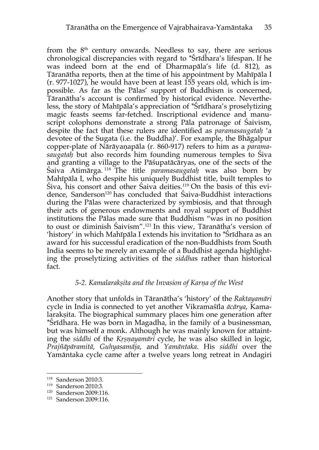from the  $8<sup>th</sup>$  century onwards. Needless to say, there are serious chronological discrepancies with regard to \*Śrīdhara's lifespan. If he was indeed born at the end of Dharmapāla's life (d. 812), as Tāranātha reports, then at the time of his appointment by Mahīpāla I (r. 977-1027), he would have been at least 155 years old, which is impossible. As far as the Pālas' support of Buddhism is concerned, Tāranātha's account is confirmed by historical evidence. Nevertheless, the story of Mahīpāla's appreciation of \*Śrīdhara's proselytizing magic feasts seems far-fetched. Inscriptional evidence and manuscript colophons demonstrate a strong Pāla patronage of Śaivism, despite the fact that these rulers are identified as *paramasaugataḥ* 'a devotee of the Sugata (i.e. the Buddha)'. For example, the Bhāgalpur copper-plate of Nārāyaṇapāla (r. 860-917) refers to him as a *paramasaugataḥ* but also records him founding numerous temples to Śiva and granting a village to the Pāśupatācāryas, one of the sects of the Śaiva Atimārga. <sup>118</sup> The title *paramasaugataḥ* was also born by Mahīpāla I, who despite his uniquely Buddhist title, built temples to Śiva, his consort and other Śaiva deities.119 On the basis of this evidence, Sanderson<sup>120</sup> has concluded that Saiva-Buddhist interactions during the Pālas were characterized by symbiosis, and that through their acts of generous endowments and royal support of Buddhist institutions the Pālas made sure that Buddhism "was in no position to oust or diminish Śaivism".121 In this view, Tāranātha's version of 'history' in which Mahīpāla I extends his invitation to \*Śrīdhara as an award for his successful eradication of the non-Buddhists from South India seems to be merely an example of a Buddhist agenda highlighting the proselytizing activities of the *siddha*s rather than historical fact.

## *5-2. Kamalarakṣita and the Invasion of Karṇa of the West*

Another story that unfolds in Tāranātha's 'history' of the *Raktayamāri* cycle in India is connected to yet another Vikramaśīla *ācārya*, Kamalarakṣita. The biographical summary places him one generation after \*Śrīdhara. He was born in Magadha, in the family of a businessman, but was himself a monk. Although he was mainly known for attainting the *siddhi* of the *Kṛṣṇayamāri* cycle, he was also skilled in logic, *Prajñāpāramitā*, *Guhyasamāja*, and *Yamāntaka*. His *siddhi* over the Yamāntaka cycle came after a twelve years long retreat in Andagiri

<sup>118</sup> Sanderson 2010:3.

<sup>119</sup> Sanderson 2010:3.

<sup>120</sup> Sanderson 2009:116.

<sup>121</sup> Sanderson 2009:116.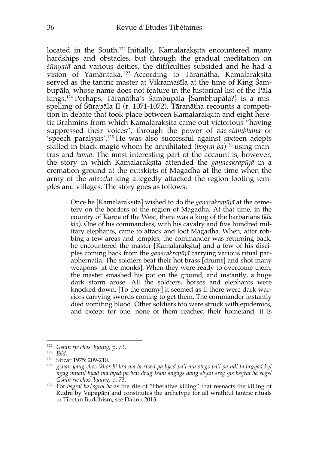located in the South.<sup>122</sup> Initially, Kamalarakṣita encountered many hardships and obstacles, but through the gradual meditation on *śūnyatā* and various deities, the difficulties subsided and he had a vision of Yamāntaka.<sup>123</sup> According to Tāranātha, Kamalarakṣita served as the tantric master at Vikramaśīla at the time of King Śambupāla, whose name does not feature in the historical list of the Pāla kings. <sup>124</sup> Perhaps, Tāranātha's Śambupāla [Śambhupāla?] is a misspelling of Śūrapāla II (r. 1071-1072). Tāranātha recounts a competition in debate that took place between Kamalarakṣita and eight heretic Brahmins from which Kamalarakṣita came out victorious "having suppressed their voices", through the power of *vāc-stambhana* or 'speech paralysis'.125 He was also successful against sixteen adepts skilled in black magic whom he annihilated (*bsgral ba*)126 using mantras and *homa*. The most interesting part of the account is, however, the story in which Kamalarakṣita attended the *gaṇacakrapūjā* in a cremation ground at the outskirts of Magadha at the time when the army of the *mleccha* king allegedly attacked the region looting temples and villages. The story goes as follows:

> Once he [Kamalarakṣita] wished to do the *gaṇacakrapūjā* at the cemetery on the borders of the region of Magadha. At that time, in the country of Karṇa of the West, there was a king of the barbarians (*kla klo*). One of his commanders, with his cavalry and five hundred military elephants, came to attack and loot Magadha. When, after robbing a few areas and temples, the commander was returning back, he encountered the master [Kamalarakṣita] and a few of his disciples coming back from the *gaṇacakrapūjā* carrying various ritual paraphernalia. The soldiers beat their hot brass [drums] and shot many weapons [at the monks]. When they were ready to overcome them, the master smashed his pot on the ground, and instantly, a huge dark storm arose. All the soldiers, horses and elephants were knocked down. [To the enemy] it seemed as if there were dark warriors carrying swords coming to get them. The commander instantly died vomiting blood. Other soldiers too were struck with epidemics, and except for one, none of them reached their homeland, it is

<sup>122</sup> *Gshin rje chos 'byung*, p. 73.

<sup>123</sup> *Ibid.*

<sup>124</sup> Sircar 1975: 209-210.

<sup>125</sup> *gzhan yang chos 'khor bi kra ma la rtsod pa byed pa'i mu stegs pa'i pa ndi ta brgyad kyi ngag mnan/ byad ma byed pa bcu drug tsam sngags dang sbyin sreg gis bsgral ba sogs/ Gshin rje chos 'byung*, p. 73.

<sup>126</sup> For *bsgral ba*/*sgrol ba* as the rite of "liberative killing" that reenacts the killing of Rudra by Vajrapāṇi and constitutes the archetype for all wrathful tantric rituals in Tibetan Buddhism, see Dalton 2013.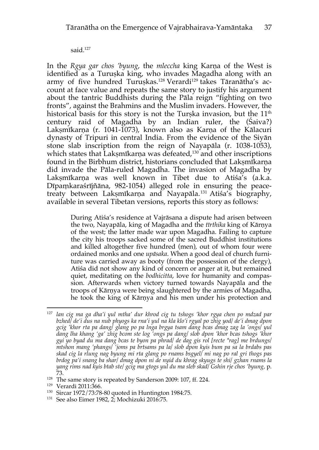said.<sup>127</sup>

In the *Rgya gar chos 'byung*, the *mleccha* king Karṇa of the West is identified as a Turuṣka king, who invades Magadha along with an army of five hundred Turuṣkas.128 Verardi129 takes Tāranātha's account at face value and repeats the same story to justify his argument about the tantric Buddhists during the Pāla reign "fighting on two fronts", against the Brahmins and the Muslim invaders. However, the historical basis for this story is not the Turșka invasion, but the  $11<sup>th</sup>$ century raid of Magadha by an Indian ruler, the (Śaiva?) Laksmīkarna (r. 1041-1073), known also as Karna of the Kālacuri dynasty of Tripuri in central India. From the evidence of the Siyān stone slab inscription from the reign of Nayapāla (r. 1038-1053), which states that Lakṣmīkarṇa was defeated, <sup>130</sup> and other inscriptions found in the Birbhum district, historians concluded that Lakṣmīkarṇa did invade the Pāla-ruled Magadha. The invasion of Magadha by Lakṣmīkarna was well known in Tibet due to Atiśa's (a.k.a. Dīpaṃkaraśrījñāna, 982-1054) alleged role in ensuring the peacetreaty between Lakṣmīkarṇa and Nayapāla.131 Atiśa's biography, available in several Tibetan versions, reports this story as follows:

> During Atiśa's residence at Vajrāsana a dispute had arisen between the two, Nayapāla, king of Magadha and the *tīrthika* king of Kārṇya of the west; the latter made war upon Magadha. Failing to capture the city his troops sacked some of the sacred Buddhist institutions and killed altogether five hundred (men), out of whom four were ordained monks and one *upāsaka*. When a good deal of church furniture was carried away as booty (from the possession of the clergy), Atiśa did not show any kind of concern or anger at it, but remained quiet, meditating on the *bodhicitta*, love for humanity and compassion. Afterwards when victory turned towards Nayapāla and the troops of Kārṇya were being slaughtered by the armies of Magadha, he took the king of Kārṇya and his men under his protection and

<sup>130</sup> Sircar 1972/73:78-80 quoted in Huntington 1984:75.

<sup>127</sup> *lan cig ma ga dha'i yul mtha' dur khrod cig tu tshogs 'khor rgya chen po mdzad par bzhed/ de'i dus na nub phyogs ka rna'i yul na kla klo'i rgyal po zhig yod/ de'i dmag dpon gcig 'khor rta pa dang/ glang po pa lnga brgya tsam dang bcas dmag zag la 'ongs/ yul dang lha khang 'ga' zhig bcom ste log 'ongs pa dang/ slob dpon 'khor bcas tshogs 'khor gyi yo byad du ma dang bcas te byon pa phrad/ de dag gis rol [recte \*rag] me brdungs/ mtshon mang 'phangs/ 'joms pa brtsams pa la/ slob dpon kyis bum pa sa la brdabs pas skad cig la rlung nag byung mi rta glang po rnams bsgyel/ mi nag po ral gri thogs pas brdog pa'i snang ba shar/ dmag dpon ni de nyid du khrag skyugs te shi/ gzhan rnams la yang rims nad kyis btab ste/ gcig ma gtogs yul du ma sleb skad/ Gshin rje chos 'byung,* p. 73.

 $^{128}$  The same story is repeated by Sanderson 2009: 107, ff. 224.  $^{129}$  Verardi 2011:366.

<sup>&</sup>lt;sup>131</sup> See also Eimer 1982,  $2$ ; Mochizuki 2016:75.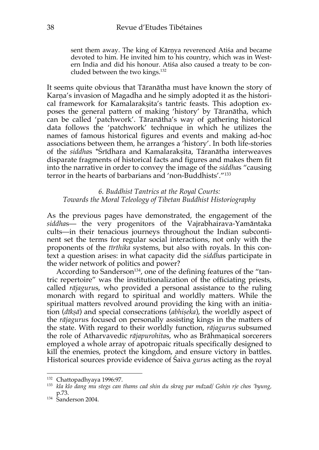sent them away. The king of Kārṇya reverenced Atiśa and became devoted to him. He invited him to his country, which was in Western India and did his honour. Atiśa also caused a treaty to be concluded between the two kings. 132

It seems quite obvious that Tāranātha must have known the story of Karṇa's invasion of Magadha and he simply adopted it as the historical framework for Kamalarakṣita's tantric feasts. This adoption exposes the general pattern of making 'history' by Tāranātha, which can be called 'patchwork'. Tāranātha's way of gathering historical data follows the 'patchwork' technique in which he utilizes the names of famous historical figures and events and making ad-hoc associations between them, he arranges a 'history'. In both life-stories of the *siddha*s \*Śrīdhara and Kamalarakṣita, Tāranātha interweaves disparate fragments of historical facts and figures and makes them fit into the narrative in order to convey the image of the *siddha*s "causing terror in the hearts of barbarians and 'non-Buddhists'."133

## *6. Buddhist Tantrics at the Royal Courts: Towards the Moral Teleology of Tibetan Buddhist Historiography*

As the previous pages have demonstrated, the engagement of the *siddha*s— the very progenitors of the Vajrabhairava-Yamāntaka cults—in their tenacious journeys throughout the Indian subcontinent set the terms for regular social interactions, not only with the proponents of the *tīrthika* systems, but also with royals. In this context a question arises: in what capacity did the *siddha*s participate in the wider network of politics and power?

According to Sanderson<sup>134</sup>, one of the defining features of the "tantric repertoire" was the institutionalization of the officiating priests, called *rājaguru*s, who provided a personal assistance to the ruling monarch with regard to spiritual and worldly matters. While the spiritual matters revolved around providing the king with an initiation (*dīkṣā*) and special consecrations (*abhiṣeka*), the worldly aspect of the *rājaguru*s focused on personally assisting kings in the matters of the state. With regard to their worldly function, *rājaguru*s subsumed the role of Atharvavedic *rājapurohita*s, who as Brāhmaṇical sorcerers employed a whole array of apotropaic rituals specifically designed to kill the enemies, protect the kingdom, and ensure victory in battles. Historical sources provide evidence of Śaiva *guru*s acting as the royal

<sup>132</sup> Chattopadhyaya 1996:97.

<sup>133</sup> *kla klo dang mu stegs can thams cad shin du skrag par mdzad/ Gshin rje chos 'byung,*  p.73.

<sup>134</sup> Sanderson 2004.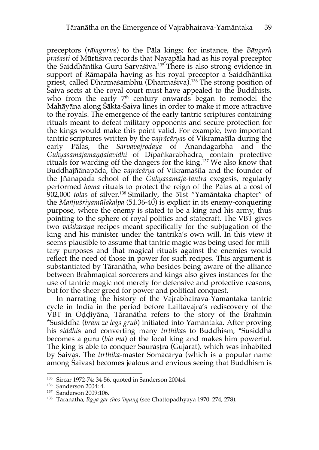preceptors (*rājaguru*s) to the Pāla kings; for instance, the *Bāṇgarh praśasti* of Mūrtiśiva records that Nayapāla had as his royal preceptor the Saiddhāntika Guru Sarvaśiva.135 There is also strong evidence in support of Rāmapāla having as his royal preceptor a Saiddhāntika priest, called Dharmaśambhu (Dharmaśiva).136 The strong position of Śaiva sects at the royal court must have appealed to the Buddhists, who from the early  $7<sup>th</sup>$  century onwards began to remodel the Mahāyāna along Śākta-Śaiva lines in order to make it more attractive to the royals. The emergence of the early tantric scriptures containing rituals meant to defeat military opponents and secure protection for the kings would make this point valid. For example, two important tantric scriptures written by the *vajrācārya*s of Vikramaśīla during the early Pālas, the *Sarvavajrodaya* of Ānandagarbha and the *Guhyasamājamaṇḍalavidhi* of Dīpaṅkarabhadra, contain protective rituals for warding off the dangers for the king. <sup>137</sup> We also know that Buddhajñānapāda, the *vajrācārya* of Vikramaśīla and the founder of the Jñānapāda school of the *Guhyasamāja-tantra* exegesis, regularly performed *homa* rituals to protect the reign of the Pālas at a cost of 902,000 *tola*s of silver.138 Similarly, the 51st "Yamāntaka chapter" of the *Mañjuśriyamūlakalpa* (51.36-40) is explicit in its enemy-conquering purpose, where the enemy is stated to be a king and his army, thus pointing to the sphere of royal politics and statecraft. The VBT gives two *vāśīkaraṇa* recipes meant specifically for the subjugation of the king and his minister under the tantrika's own will. In this view it seems plausible to assume that tantric magic was being used for military purposes and that magical rituals against the enemies would reflect the need of those in power for such recipes. This argument is substantiated by Tāranātha, who besides being aware of the alliance between Brāhmaṇical sorcerers and kings also gives instances for the use of tantric magic not merely for defensive and protective reasons, but for the sheer greed for power and political conquest.

In narrating the history of the Vajrabhairava-Yamāntaka tantric cycle in India in the period before Lailtavajra's rediscovery of the VBT in Oḍḍiyāna, Tāranātha refers to the story of the Brahmin \*Susiddhā (*bram ze legs grub*) initiated into Yamāntaka. After proving his *siddhi*s and converting many *tīrthika*s to Buddhism, \*Susiddhā becomes a guru (*bla ma*) of the local king and makes him powerful. The king is able to conquer Saurāṣṭra (Gujarat), which was inhabited by Śaivas. The *tīrthika*-master Somācārya (which is a popular name among Śaivas) becomes jealous and envious seeing that Buddhism is

<sup>135</sup> Sircar 1972-74: 34-56, quoted in Sanderson 2004:4.

<sup>136</sup> Sanderson 2004: 4.

<sup>137</sup> Sanderson 2009:106.

<sup>138</sup> Tāranātha, *Rgya gar chos 'byung* (see Chattopadhyaya 1970: 274, 278).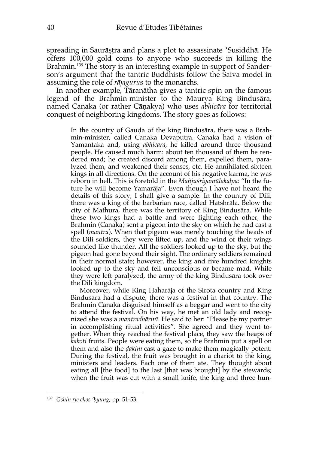spreading in Saurāṣṭra and plans a plot to assassinate \*Susiddhā. He offers 100,000 gold coins to anyone who succeeds in killing the Brahmin.139 The story is an interesting example in support of Sanderson's argument that the tantric Buddhists follow the Śaiva model in assuming the role of *rājaguru*s to the monarchs.

In another example, Tāranātha gives a tantric spin on the famous legend of the Brahmin-minister to the Maurya King Bindusāra, named Canaka (or rather Cāṇakya) who uses *abhicāra* for territorial conquest of neighboring kingdoms. The story goes as follows:

> In the country of Gauḍa of the king Bindusāra, there was a Brahmin-minister, called Canaka Devaputra. Canaka had a vision of Yamāntaka and, using *abhicāra*, he killed around three thousand people. He caused much harm: about ten thousand of them he rendered mad; he created discord among them, expelled them, paralyzed them, and weakened their senses, etc. He annihilated sixteen kings in all directions. On the account of his negative karma, he was reborn in hell. This is foretold in the *Mañjuśriyamūlakalpa:* "In the future he will become Yamarāja". Even though I have not heard the details of this story, I shall give a sample: In the country of Dili, there was a king of the barbarian race, called Hatshrāla. Below the city of Mathura, there was the territory of King Bindusāra. While these two kings had a battle and were fighting each other, the Brahmin (Canaka) sent a pigeon into the sky on which he had cast a spell (*mantra*). When that pigeon was merely touching the heads of the Dili soldiers, they were lifted up, and the wind of their wings sounded like thunder. All the soldiers looked up to the sky, but the pigeon had gone beyond their sight. The ordinary soldiers remained in their normal state; however, the king and five hundred knights looked up to the sky and fell unconscious or became mad. While they were left paralyzed, the army of the king Bindusāra took over the Dili kingdom.

> Moreover, while King Haharāja of the Sirota country and King Bindusāra had a dispute, there was a festival in that country. The Brahmin Canaka disguised himself as a beggar and went to the city to attend the festival. On his way, he met an old lady and recognized she was a *mantradhāriṇī*. He said to her: "Please be my partner in accomplishing ritual activities". She agreed and they went together. When they reached the festival place, they saw the heaps of *kakoti* fruits. People were eating them, so the Brahmin put a spell on them and also the *ḍākinī* cast a gaze to make them magically potent. During the festival, the fruit was brought in a chariot to the king, ministers and leaders. Each one of them ate. They thought about eating all [the food] to the last [that was brought] by the stewards; when the fruit was cut with a small knife, the king and three hun-

<sup>139</sup> *Gshin rje chos 'byung,* pp. 51-53.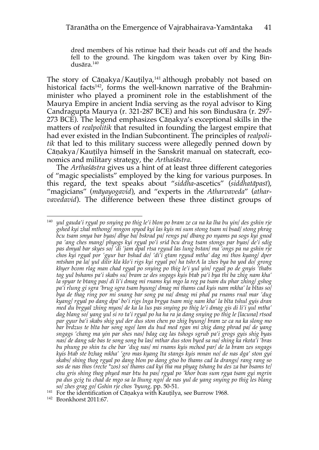dred members of his retinue had their heads cut off and the heads fell to the ground. The kingdom was taken over by King Bindusāra.140

The story of Cāṇakya/Kauṭilya,<sup>141</sup> although probably not based on historical facts<sup>142</sup>, forms the well-known narrative of the Brahminminister who played a prominent role in the establishment of the Maurya Empire in ancient India serving as the royal advisor to King Candragupta Maurya (r. 321-287 BCE) and his son Bindusāra (r. 297- 273 BCE). The legend emphasizes Cāṇakya's exceptional skills in the matters of *realpolitik* that resulted in founding the largest empire that had ever existed in the Indian Subcontinent. The principles of *realpolitik* that led to this military success were allegedly penned down by Cāṇakya/Kauṭilya himself in the Sanskrit manual on statecraft, economics and military strategy, the *Arthaśāstra*.

The *Arthaśāstra* gives us a hint of at least three different categories of "magic specialists" employed by the king for various purposes. In this regard, the text speaks about "*siddha*-ascetics" (*siddhatāpasī*), "magicians" (*māyayogavid*), and "experts in the *Atharvaveda*" (*atharvavedavid*). The difference between these three distinct groups of

<sup>140</sup> *yul gauda'i rgyal po snying po thig le'i blon po bram ze ca na ka lha bu yin/ des gshin rje gshed kyi zhal mthong/ mngon spyod kyi las kyis mi sum stong tsam ni bsad/ stong phrag bcu tsam smya bar byas/ dbye ba/ bskrad pa/ rengs pa/ dbang po nyams pa sogs kyi gnod pa 'ang ches mang/ phyogs kyi rgyal po'i srid bcu drug tsam stongs par byas/ de'i sdig pas dmyal bar skyes so/ 'di 'jam dpal rtsa rgyud las lung bstan/ ma 'ongs pa na gshin rje chos kyi rgyal por 'gyur bar bshad do/ 'di'i gtam rgyud mtha' dag mi thos kyang/ dper mtshan pa la/ yul dilir kla klo'i rigs kyi rgyal po/ ha tshrA la zhes bya ba yod do/ grong khyer bcom rlag man chad rgyal po snying po thig le'i yul yin/ rgyal po de gnyis 'thabs tag yul bshams pa'i skabs su/ bram ze des sngags kyis btab pa'i bya thi ba zhig nam kha' la spyar te btang pas/ di li'i dmag mi rnams kyi mgo la reg pa tsam du phar zhing/ gshog pa'i rlung gi sgra 'brug sgra tsam byung/ dmag mi thams cad kyis nam mkha' la bltas so/ bya de thag ring por mi snang bar song pa na/ dmag mi phal pa rnams rnal mar 'dug kyang/ rgyal po dang dpa' bo'i rigs lnga brgya tsam mig nam kha' la blta tshul gyis dran med du brgyal zhing myos/ de ka la lus pas snying po thig le'i dmag gis di li'i yul mtha' dag blang so/ yang yul si ro ta'i rgyal po ha ha ra ja dang snying po thig le [lacuna] rtsod par gyur ba'i skabs shig yul der dus ston chen po zhig byung/ bram ze ca na ka slong mo bar brdzus te blta bar song ngo/ lam du bud med rgan mi zhig dang phrad pa/ de yang sngags 'chang ma yin par shes nas/ bdag cag las tshogs sgrub pa'i grogs gyis shig byas nas/ de dang sde bas te song song ba las/ mthar dus ston byed sa na/ shing ka rkota'i 'bras bu phung po shin tu che bar 'dug nas/ mi rnams kyis mchod par/ de la bram zes sngags kyis btab ste bzhag mkha' 'gro mas kyang lta stangs kyis mnan no/ de nas dga' ston gyi skabs/ shing thog rgyal po dang blon po dang gtso bo thams cad la drangs/ rang rang so sos de nas thos (recte \*zos) so/ thams cad kyi tha ma phyag tshang ba des za bar bsams te/ chu gris shing thog phyed mar btu ba pas/ rgyal po 'khor bcas sum rgya tsam gyi mgrin pa dus gcig tu chad de mgo sa la lhung ngo/ de nas yul de yang snying po thig les blang so/ zhes grag go/ Gshin rje chos 'byung,* pp. 50-51.

<sup>&</sup>lt;sup>141</sup> For the identification of Cāṇakya with Kauṭilya, see Burrow 1968.

<sup>142</sup> Bronkhorst 2011:67.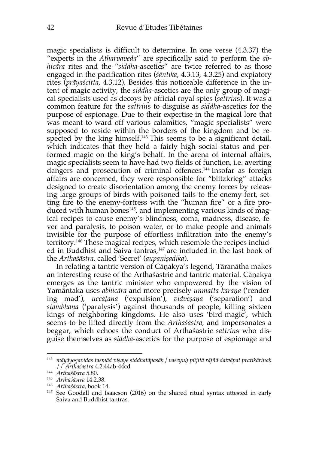magic specialists is difficult to determine. In one verse (4.3.37) the "experts in the *Atharvaveda*" are specifically said to perform the *abhicāra* rites and the "*siddha*-ascetics" are twice referred to as those engaged in the pacification rites (*śāntika*, 4.3.13, 4.3.25) and expiatory rites (*prāyaścitta*, 4.3.12). Besides this noticeable difference in the intent of magic activity, the *siddha*-ascetics are the only group of magical specialists used as decoys by official royal spies (*sattrin*s). It was a common feature for the *sattrin*s to disguise as *siddha*-ascetics for the purpose of espionage. Due to their expertise in the magical lore that was meant to ward off various calamities, "magic specialists" were supposed to reside within the borders of the kingdom and be respected by the king himself.<sup>143</sup> This seems to be a significant detail, which indicates that they held a fairly high social status and performed magic on the king's behalf. In the arena of internal affairs, magic specialists seem to have had two fields of function, i.e. averting dangers and prosecution of criminal offences. <sup>144</sup> Insofar as foreign affairs are concerned, they were responsible for "blitzkrieg" attacks designed to create disorientation among the enemy forces by releasing large groups of birds with poisoned tails to the enemy-fort, setting fire to the enemy-fortress with the "human fire" or a fire produced with human bones<sup>145</sup>, and implementing various kinds of magical recipes to cause enemy's blindness, coma, madness, disease, fever and paralysis, to poison water, or to make people and animals invisible for the purpose of effortless infiltration into the enemy's territory. <sup>146</sup> These magical recipes, which resemble the recipes included in Buddhist and Saiva tantras,<sup>147</sup> are included in the last book of the *Arthaśāstra*, called 'Secret' (*aupaniṣadika*).

In relating a tantric version of Cāṇakya's legend, Tāranātha makes an interesting reuse of the Arthaśāstric and tantric material. Cāṇakya emerges as the tantric minister who empowered by the vision of Yamāntaka uses *abhicāra* and more precisely *unmatta-karaṇa* ('rendering mad'), *uccāṭana* ('expulsion'), *vidveṣaṇa* ('separation') and *stambhana* ('paralysis') against thousands of people, killing sixteen kings of neighboring kingdoms. He also uses 'bird-magic', which seems to be lifted directly from the *Arthaśāstra,* and impersonates a beggar, which echoes the conduct of Arthaśāstric *sattrin*s who disguise themselves as *siddha*-ascetics for the purpose of espionage and

<sup>&</sup>lt;sup>143</sup> māyāyogavidas tasmād visaye siddhatāpasāḥ / vaseyuḥ pūjitā rājñā daivāpat pratikāriņaḥ // *Arthāśāstra* 4.2.44ab-44cd

<sup>144</sup> *Arthaśāstra* 5.80.

<sup>145</sup> *Arthaśāstra* 14.2.38.

<sup>146</sup> *Arthaśāstra*, book 14.

 $147$  See Goodall and Isaacson (2016) on the shared ritual syntax attested in early Śaiva and Buddhist tantras.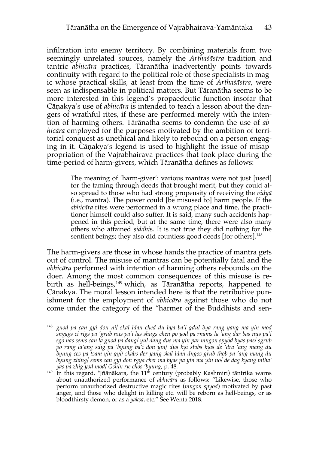infiltration into enemy territory. By combining materials from two seemingly unrelated sources, namely the *Arthaśāstra* tradition and tantric *abhicāra* practices, Tāranātha inadvertently points towards continuity with regard to the political role of those specialists in magic whose practical skills, at least from the time of *Arthaśāstra*, were seen as indispensable in political matters. But Tāranātha seems to be more interested in this legend's propaedeutic function insofar that Cāṇakya's use of *abhicāra* is intended to teach a lesson about the dangers of wrathful rites, if these are performed merely with the intention of harming others. Tārānatha seems to condemn the use of *abhicāra* employed for the purposes motivated by the ambition of territorial conquest as unethical and likely to rebound on a person engaging in it. Cāṇakya's legend is used to highlight the issue of misappropriation of the Vajrabhairava practices that took place during the time-period of harm-givers, which Tāranātha defines as follows:

> The meaning of 'harm-giver': various mantras were not just [used] for the taming through deeds that brought merit, but they could also spread to those who had strong propensity of receiving the *vidyā* (i.e., mantra). The power could [be misused to] harm people. If the *abhicāra* rites were performed in a wrong place and time, the practitioner himself could also suffer. It is said, many such accidents happened in this period, but at the same time, there were also many others who attained *siddhi*s. It is not true they did nothing for the sentient beings; they also did countless good deeds [for others].<sup>148</sup>

The harm-givers are those in whose hands the practice of mantra gets out of control. The misuse of mantras can be potentially fatal and the *abhicāra* performed with intention of harming others rebounds on the doer. Among the most common consequences of this misuse is rebirth as hell-beings,  $149$  which, as Tāranātha reports, happened to Cāṇakya. The moral lesson intended here is that the retributive punishment for the employment of *abhicāra* against those who do not come under the category of the "harmer of the Buddhists and sen-

<sup>148</sup> *gnod pa can gyi don ni/ skal ldan ched du bya ba'i gdul bya rang yang ma yin mod sngags ci rigs pa 'grub nus pa'i las shugs chen po yod pa rnams la 'ang dar bas nus pa'i sgo nas sems can la gnod pa dang/ yul dang dus ma yin par mngon spyod byas pas/ sgrub po rang la'ang sdig pa 'byung ba'i don yin/ dus kyi stobs kyis de 'dra 'ang mang du byung ces pa tsam yin gyi/ skabs der yang skal ldan dngos grub thob pa 'ang mang du byung zhing/ sems can gyi don rgya cher ma byas pa yin ma yin no/ de dag kyang mtha' yas pa zhig yod mod/ Gshin rje chos 'byung,* p. 48*.*

 $149$  In this regard, \*Jñānākara, the  $11<sup>th</sup>$  century (probably Kashmiri) tāntrika warns about unauthorized performance of *abhicāra* as follows: "Likewise, those who perform unauthorized destructive magic rites (*mngon spyod*) motivated by past anger, and those who delight in killing etc. will be reborn as hell-beings, or as bloodthirsty demon, or as a *yakṣa*, etc." See Wenta 2018.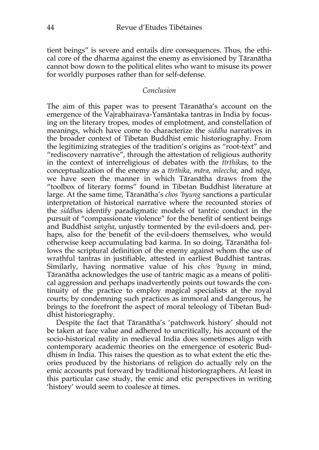tient beings" is severe and entails dire consequences. Thus, the ethical core of the dharma against the enemy as envisioned by Tāranātha cannot bow down to the political elites who want to misuse its power for worldly purposes rather than for self-defense.

#### *Conclusion*

The aim of this paper was to present Tāranātha's account on the emergence of the Vajrabhairava-Yamāntaka tantras in India by focusing on the literary tropes, modes of emplotment, and constellation of meanings, which have come to characterize the *siddha* narratives in the broader context of Tibetan Buddhist emic historiography. From the legitimizing strategies of the tradition's origins as "root-text" and "rediscovery narrative", through the attestation of religious authority in the context of interreligious of debates with the *tīrthika*s, to the conceptualization of the enemy as a *tīrthika*, *māra*, *mleccha*, and *nāga*, we have seen the manner in which Tāranātha draws from the "toolbox of literary forms" found in Tibetan Buddhist literature at large. At the same time, Tāranātha's *chos 'byung* sanctions a particular interpretation of historical narrative where the recounted stories of the *siddha*s identify paradigmatic models of tantric conduct in the pursuit of "compassionate violence" for the benefit of sentient beings and Buddhist *saṅgha*, unjustly tormented by the evil-doers and, perhaps, also for the benefit of the evil-doers themselves, who would otherwise keep accumulating bad karma. In so doing, Tāranātha follows the scriptural definition of the enemy against whom the use of wrathful tantras in justifiable, attested in earliest Buddhist tantras. Similarly, having normative value of his *chos 'byung* in mind, Tāranātha acknowledges the use of tantric magic as a means of political aggression and perhaps inadvertently points out towards the continuity of the practice to employ magical specialists at the royal courts; by condemning such practices as immoral and dangerous, he brings to the forefront the aspect of moral teleology of Tibetan Buddhist historiography.

Despite the fact that Tāranātha's 'patchwork history' should not be taken at face value and adhered to uncritically, his account of the socio-historical reality in medieval India does sometimes align with contemporary academic theories on the emergence of esoteric Buddhism in India. This raises the question as to what extent the etic theories produced by the historians of religion do actually rely on the emic accounts put forward by traditional historiographers. At least in this particular case study, the emic and etic perspectives in writing 'history' would seem to coalesce at times.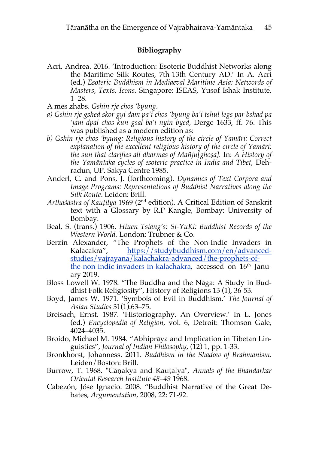## **Bibliography**

- Acri, Andrea. 2016. 'Introduction: Esoteric Buddhist Networks along the Maritime Silk Routes, 7th-13th Century AD.' In A. Acri (ed.) *Esoteric Buddhism in Mediaeval Maritime Asia: Networds of Masters, Texts, Icons.* Singapore: ISEAS, Yusof Ishak Institute, 1–28.
- A mes zhabs. *Gshin rje chos 'byung*.
- *a) Gshin rje gshed skor gyi dam pa'i chos 'byung ba'i tshul legs par bshad pa 'jam dpal chos kun gsal ba'i nyin byed,* Derge 1633, ff. 76. This was published as a modern edition as:
- *b) Gshin rje chos 'byung: Religious history of the circle of Yamāri: Correct explanation of the excellent religious history of the circle of Yamāri: the sun that clarifies all dharmas of Mañju[ghoṣa].* In: *A History of the Yamāntaka cycles of esoteric practice in India and Tibet*, Dehradun, UP. Sakya Centre 1985.
- Anderl, C. and Pons, J. (forthcoming). *Dynamics of Text Corpora and Image Programs: Representations of Buddhist Narratives along the Silk Route*. Leiden: Brill.
- *Arthaśāstra of Kauṭilya* 1969 (2nd edition). A Critical Edition of Sanskrit text with a Glossary by R.P Kangle, Bombay: University of Bombay.
- Beal, S. (trans.) 1906. *Hiuen Tsiang's: Si-YuKi: Buddhist Records of the Western World.* London: Trubner & Co.
- Berzin Alexander, "The Prophets of the Non-Indic Invaders in Kalacakra", https://studybuddhism.com/en/advancedstudies/vajrayana/kalachakra-advanced/the-prophets-ofthe-non-indic-invaders-in-kalachakra, accessed on 16<sup>th</sup> January 2019.
- Bloss Lowell W. 1978. "The Buddha and the Nāga: A Study in Buddhist Folk Religiosity", History of Religions 13 (1), 36-53.
- Boyd, James W. 1971. 'Symbols of Evil in Buddhism.' *The Journal of Asian Studies* 31(1):63–75.
- Breisach, Ernst. 1987. 'Historiography. An Overview.' In L. Jones (ed.) *Encyclopedia of Religion*, vol. 6, Detroit: Thomson Gale, 4024–4035.
- Broido, Michael M. 1984. "Abhiprāya and Implication in Tibetan Linguistics", *Journal of Indian Philosophy*, (12) 1, pp. 1-33.
- Bronkhorst, Johanness. 2011. *Buddhism in the Shadow of Brahmanism*. Leiden/Boston: Brill.
- Burrow, T. 1968. "Cāṇakya and Kauṭalya", *Annals of the Bhandarkar Oriental Research Institute 48–49* 1968.
- Cabezón, Jóse Ignacio. 2008. "Buddhist Narrative of the Great Debates, *Argumentation*, 2008, 22: 71-92.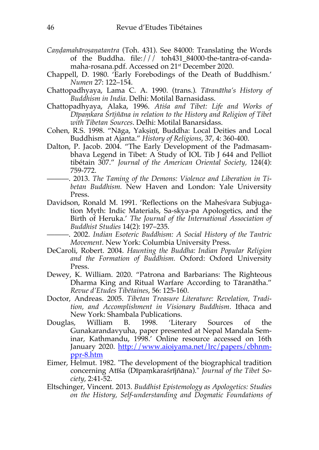- *Caṇḍamahāroṣaṇatantra* (Toh. 431). See 84000: Translating the Words of the Buddha. file:/// toh431\_84000-the-tantra-of-candamaha-rosana.pdf. Accessed on 21st December 2020.
- Chappell, D. 1980. 'Early Forebodings of the Death of Buddhism.' *Numen* 27: 122–154.
- Chattopadhyaya, Lama C. A. 1990. (trans.)*. Tāranātha's History of Buddhism in India*. Delhi: Motilal Barnasidass.
- Chattopadhyaya, Alaka, 1996. *Atiśa and Tibet: Life and Works of Dīpaṃkara Śrījñāna in relation to the History and Religion of Tibet with Tibetan Sources*. Delhi: Motilal Banarsidass.
- Cohen, R.S. 1998. "Nāga, Yakṣiṇī, Buddha: Local Deities and Local Buddhism at Ajanta." *History of Religions*, 37, 4: 360-400.
- Dalton, P. Jacob. 2004. "The Early Development of the Padmasambhava Legend in Tibet: A Study of IOL Tib J 644 and Pelliot tibétain 307." *Journal of the American Oriental Society,* 124(4): 759-772.
- 2013. The Taming of the Demons: Violence and Liberation in Ti*betan Buddhism.* New Haven and London: Yale University Press.
- Davidson, Ronald M. 1991. 'Reflections on the Maheśvara Subjugation Myth: Indic Materials, Sa-skya-pa Apologetics, and the Birth of Heruka.' *The Journal of the International Association of Buddhist Studies* 14(2): 197–235.
- ———. 2002. *Indian Esoteric Buddhism: A Social History of the Tantric Movement*. New York: Columbia University Press.
- DeCaroli, Robert. 2004. *Haunting the Buddha: Indian Popular Religion and the Formation of Buddhism.* Oxford: Oxford University Press.
- Dewey, K. William. 2020. "Patrona and Barbarians: The Righteous Dharma King and Ritual Warfare According to Tāranātha." *Revue d'Etudes Tibétaines*, 56: 125-160.
- Doctor, Andreas. 2005. *Tibetan Treasure Literature: Revelation, Tradition, and Accomplishment in Visionary Buddhism*. Ithaca and New York: Shambala Publications.
- Douglas, William B. 1998. 'Literary Sources of the Gunakarandavyuha, paper presented at Nepal Mandala Seminar, Kathmandu, 1998.' Online resource accessed on 16th January 2020. http://www.aioiyama.net/lrc/papers/cbhnmppr-8.htm
- Eimer, Helmut. 1982. "The development of the biographical tradition concerning Atīśa (Dīpaṃkaraśrījñāna)." *Journal of the Tibet Society*, 2:41-52.
- Eltschinger, Vincent. 2013. *Buddhist Epistemology as Apologetics: Studies on the History, Self-understanding and Dogmatic Foundations of*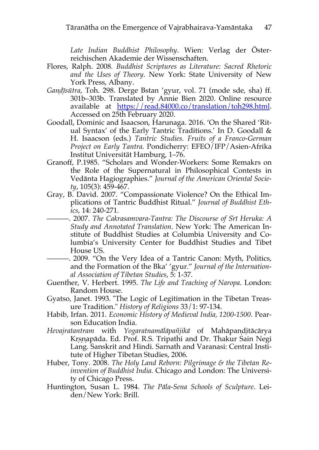*Late Indian Buddhist Philosophy*. Wien: Verlag der Österreichischen Akademie der Wissenschaften.

- Flores, Ralph. 2008. *Buddhist Scriptures as Literature: Sacred Rhetoric and the Uses of Theory*. New York: State University of New York Press, Albany.
- *Ganḍ ị̄sūtra*, Toh. 298. Derge Bstan 'gyur, vol. 71 (mode sde, sha) ff. 301b–303b. Translated by Annie Bien 2020. Online resource available at https://read.84000.co/translation/toh298.html. Accessed on 25th February 2020.
- Goodall, Dominic and Isaacson, Harunaga. 2016. 'On the Shared 'Ritual Syntax' of the Early Tantric Traditions.' In D. Goodall & H. Isaacson (eds.) *Tantric Studies. Fruits of a Franco-German Project on Early Tantra.* Pondicherry: EFEO/IFP/Asien-Afrika Institut Universität Hamburg, 1–76.
- Granoff, P.1985. "Scholars and Wonder-Workers: Some Remakrs on the Role of the Supernatural in Philosophical Contests in Vedānta Hagiographies." *Journal of the American Oriental Society*, 105(3): 459-467.
- Gray, B. David. 2007. "Compassionate Violence? On the Ethical Implications of Tantric Buddhist Ritual." *Journal of Buddhist Ethics*, 14: 240-271.
	- ———. 2007. *The Cakrasamvara-Tantra: The Discourse of Sŕ ī Heruka: A Study and Annotated Translation*. New York: The American Institute of Buddhist Studies at Columbia University and Columbia's University Center for Buddhist Studies and Tibet House US.
- ———. 2009. "On the Very Idea of a Tantric Canon: Myth, Politics, and the Formation of the Bka' 'gyur." *Journal of the International Association of Tibetan Studies*, 5: 1-37.
- Guenther, V. Herbert. 1995. *The Life and Teaching of Naropa*. London: Random House.
- Gyatso, Janet. 1993. "The Logic of Legitimation in the Tibetan Treasure Tradition." *History of Religions* 33/1: 97-134.
- Habib, Irfan. 2011. *Economic History of Medieval India, 1200-1500*. Pearson Education India.
- *Hevajratantram* with *Yogaratnamālāpañjikā* of Mahāpaṇḍitācārya Krsnapāda. Ed. Prof. R.S. Tripathi and Dr. Thakur Sain Negi Lang. Sanskrit and Hindi. Sarnath and Varanasi: Central Institute of Higher Tibetan Studies, 2006.
- Huber, Tony. 2008. *The Holy Land Reborn: Pilgrimage & the Tibetan Reinvention of Buddhist India.* Chicago and London: The University of Chicago Press.
- Huntington, Susan L. 1984. *The Pāla-Sena Schools of Sculpture*. Leiden/New York: Brill.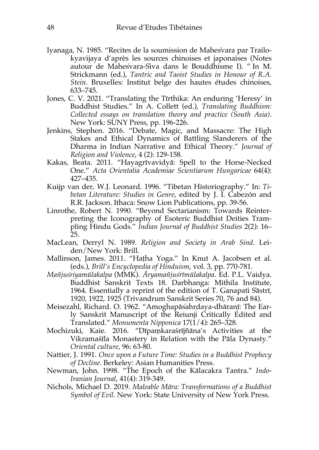- Iyanaga, N. 1985. "Recites de la soumission de Mahesvara par Trailo- ́ kyavijaya d'après les sources chinoises et japonaises (Notes autour de Mahesvara-Siva dans le Bouddhisme I). " In M. Strickmann (ed.), *Tantric and Taoist Studies in Honour of R.A. Stein*. Bruxelles: Institut belge des hautes études chinoises, 633–745.
- Jones, C. V. 2021. "Translating the Tīrthika: An enduring 'Heresy' in Buddhist Studies." In A. Collett (ed.), *Translating Buddhism: Collected essays on translation theory and practice (South Asia)*. New York: SUNY Press, pp. 196-226.
- Jenkins, Stephen. 2016. "Debate, Magic, and Massacre: The High Stakes and Ethical Dynamics of Battling Slanderers of the Dharma in Indian Narrative and Ethical Theory." *Journal of Religion and Violence*, 4 (2): 129-158.
- Kakas, Beata. 2011. "Hayagrīvavidyā: Spell to the Horse-Necked One." *Acta Orientalia Academiae Scientiarum Hungaricae* 64(4): 427–435.
- Kuijp van der, W.J. Leonard. 1996. "Tibetan Historiography." In: *Tibetan Literature: Studies in Genre*, edited by J. I. Cabezón and R.R. Jackson. Ithaca: Snow Lion Publications, pp. 39-56.
- Linrothe, Robert N. 1990. "Beyond Sectarianism: Towards Reinterpreting the Iconography of Esoteric Buddhist Deities Trampling Hindu Gods." *Indian Journal of Buddhist Studies* 2(2): 16– 25.
- MacLean, Derryl N. 1989. *Religion and Society in Arab Sind*. Leiden/New York: Brill.
- Mallinson, James. 2011. "Haṭha Yoga." In Knut A. Jacobsen et al. (eds.), *Brill's Encyclopedia of Hinduism*, vol. 3, pp. 770-781.
- *Mañjuśriyamūlakalpa* (MMK). *Āryamañjuśrīmūlakalpa*. Ed. P.L. Vaidya. Buddhist Sanskrit Texts 18. Darbhanga: Mithila Institute, 1964. Essentially a reprint of the edition of T. Ganapati Śāstrī, 1920, 1922, 1925 (Trivandrum Sanskrit Series 70, 76 and 84).
- Meisezahl, Richard. O. 1962. "Amoghapāsahrdaya-dhāranī: The Early Sanskrit Manuscript of the Reiunji Critically Edited and Translated." *Monumenta Nipponica* 17(1/4): 265–328.
- Mochizuki, Kaie. 2016. "Dīpaṃkaraśrījñāna's Activities at the Vikramaśīla Monastery in Relation with the Pāla Dynasty." *Oriental culture*, 96: 63-80.
- Nattier, J. 1991. *Once upon a Future Time: Studies in a Buddhist Prophecy of Decline.* Berkeley: Asian Humanities Press.
- Newman, John. 1998. "The Epoch of the Kālacakra Tantra." *Indo-Iranian Journal*, 41(4): 319-349.
- Nichols, Michael D. 2019. *Maleable Māra: Transformations of a Buddhist Symbol of Evil*. New York: State University of New York Press.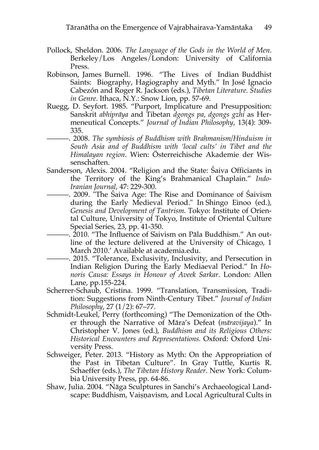- Pollock, Sheldon. 2006. *The Language of the Gods in the World of Men*. Berkeley/Los Angeles/London: University of California Press.
- Robinson, James Burnell. 1996. "The Lives of Indian Buddhist Saints: Biography, Hagiography and Myth." In José Ignacio Cabezón and Roger R. Jackson (eds.), *Tibetan Literature. Studies in Genre.* Ithaca, N.Y.: Snow Lion, pp. 57-69.
- Ruegg, D. Seyfort. 1985. "Purport, Implicature and Presupposition: Sanskrit *abhiprāya* and Tibetan *dgongs pa, dgongs gzhi* as Hermeneutical Concepts." *Journal of Indian Philosophy*, 13(4): 309- 335.
	- ———. 2008. *The symbiosis of Buddhism with Brahmanism/Hinduism in South Asia and of Buddhism with 'local cults' in Tibet and the Himalayan region*. Wien: Österreichische Akademie der Wissenschaften.
- Sanderson, Alexis. 2004. "Religion and the State: Śaiva Officiants in the Territory of the King's Brahmanical Chaplain." *Indo-Iranian Journal*, 47: 229-300.
	- ———. 2009. "The Śaiva Age: The Rise and Dominance of Śaivism during the Early Medieval Period." In Shingo Einoo (ed.), *Genesis and Development of Tantrism.* Tokyo: Institute of Oriental Culture, University of Tokyo, Institute of Oriental Culture Special Series, 23, pp. 41-350.
- ———. 2010. "The Influence of Śaivism on Pāla Buddhism." An outline of the lecture delivered at the University of Chicago, 1 March 2010.' Available at academia.edu.
- ———. 2015. "Tolerance, Exclusivity, Inclusivity, and Persecution in Indian Religion During the Early Mediaeval Period." In *Honoris Causa: Essays in Honour of Aveek Sarkar*. London: Allen Lane, pp.155-224.
- Scherrer-Schaub, Cristina. 1999. "Translation, Transmission, Tradition: Suggestions from Ninth-Century Tibet." *Journal of Indian Philosophy*, 27 (1/2): 67–77.
- Schmidt-Leukel, Perry (forthcoming) "The Demonization of the Other through the Narrative of Māra's Defeat (*māravijaya*)." In Christopher V. Jones (ed.), *Buddhism and its Religious Others: Historical Encounters and Representations.* Oxford: Oxford University Press.
- Schweiger, Peter. 2013. "History as Myth: On the Appropriation of the Past in Tibetan Culture". In Gray Tuttle, Kurtis R. Schaeffer (eds.), *The Tibetan History Reader*. New York: Columbia University Press, pp. 64-86.
- Shaw, Julia. 2004. "Nāga Sculptures in Sanchi's Archaeological Landscape: Buddhism, Vaiṣṇavism, and Local Agricultural Cults in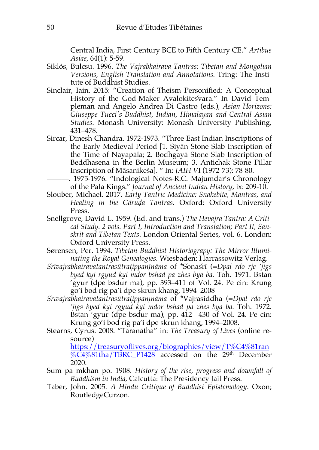Central India, First Century BCE to Fifth Century CE." *Artibus Asiae,* 64(1): 5-59.

- Siklós, Bulcsu. 1996. *The Vajrabhairava Tantras: Tibetan and Mongolian Versions, English Translation and Annotations.* Tring: The Institute of Buddhist Studies.
- Sinclair, Iain. 2015: "Creation of Theism Personified: A Conceptual History of the God-Maker Avalokites vara." In David Templeman and Angelo Andrea Di Castro (eds.), *Asian Horizons: Giuseppe Tucci's Buddhist, Indian, Himalayan and Central Asian Studies*. Monash University: Monash University Publishing, 431–478.
- Sircar, Dinesh Chandra. 1972-1973. "Three East Indian Inscriptions of the Early Medieval Period [1. Siyān Stone Slab Inscription of the Time of Nayapāla; 2. Bodhgayā Stone Slab Inscription of Beddhasena in the Berlin Museum; 3. Antichak Stone Pillar Inscription of Māsanikeśa]. " In: *JAIH V*I (1972-73): 78-80.
	- . 1975-1976. "Indological Notes-R.C. Majumdar's Chronology of the Pala Kings." *Journal of Ancient Indian History*, ix: 209-10.
- Slouber, Michael. 2017. *Early Tantric Medicine: Snakebite, Mantras, and Healing in the Gāruḍa Tantras*. Oxford: Oxford University Press.
- Snellgrove, David L. 1959. (Ed. and trans.) *The Hevajra Tantra: A Critical Study. 2 vols. Part I, Introduction and Translation; Part II, Sanskrit and Tibetan Texts*. London Oriental Series, vol. 6. London: Oxford University Press.
- Sørensen, Per. 1994. *Tibetan Buddhist Historiograpy: The Mirror Illuminating the Royal Genealogies.* Wiesbaden: Harrassowitz Verlag.
- *Sŕ īvajrabhairavatantrasūtraṭippaṇīnāma* of \*Śoṇasŕ ī (=*Dpal rdo rje 'jigs byed kyi rgyud kyi mdor bshad pa zhes bya ba.* Toh. 1971. Bstan 'gyur (dpe bsdur ma), pp. 393–411 of Vol. 24. Pe cin: Krung go'i bod rig pa'i dpe skrun khang, 1994–2008
- *Sŕ īvajrabhairavatantrasūtraṭippaṇīnāma* of \*Vajrasiddha (=*Dpal rdo rje 'jigs byed kyi rgyud kyi mdor bshad pa zhes bya ba.* Toh. 1972. Bstan 'gyur (dpe bsdur ma), pp. 412– 430 of Vol. 24. Pe cin: Krung go'i bod rig pa'i dpe skrun khang, 1994–2008.
- Stearns, Cyrus. 2008. "Tāranātha" in: *The Treasury of Lives* (online resource)

https://treasuryoflives.org/biographies/view/T%C4%81ran  $\%$ C4%81tha/TBRC P1428 accessed on the 29<sup>th</sup> December 2020.

- Sum pa mkhan po. 1908. *History of the rise, progress and downfall of Buddhism in India*, Calcutta: The Presidency Jail Press.
- Taber, John. 2005. *A Hindu Critique of Buddhist Epistemology*. Oxon; RoutledgeCurzon.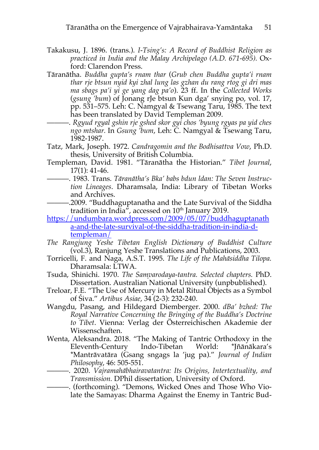- Takakusu, J. 1896. (trans.). *I-Tsing's: A Record of Buddhist Religion as practiced in India and the Malay Archipelago (A.D. 671-695).* Oxford: Clarendon Press.
- Tāranātha. *Buddha gupta's rnam thar* (*Grub chen Buddha gupta'i rnam thar rje btsun nyid kyi zhal lung las gzhan du rang rtog gi dri mas ma sbags pa'i yi ge yang dag pa'o*). 23 ff. In the *Collected Works*  (*gsung 'bum*) of Jonang rJe btsun Kun dga' snying po, vol. 17, pp. 531–575. Leh: C. Namgyal & Tsewang Taru, 1985. The text has been translated by David Templeman 2009.
	- ———. *Rgyud rgyal gshin rje gshed skor gyi chos 'byung rgyas pa yid ches ngo mtshar.* In *Gsung 'bum*, Leh: C. Namgyal & Tsewang Taru, 1982-1987.
- Tatz, Mark, Joseph. 1972. *Candragomin and the Bodhisattva Vow*, Ph.D. thesis, University of British Columbia.
- Templeman, David. 1981. "Tāranātha the Historian." *Tibet Journal*, 17(1): 41-46.
- ———. 1983. Trans. *Tāranātha's Bka' babs bdun ldan: The Seven Instruction Lineages*. Dharamsala, India: Library of Tibetan Works and Archives.
- ———.2009. "Buddhaguptanatha and the Late Survival of the Siddha tradition in India", accessed on  $10<sup>th</sup>$  January 2019.
- https://undumbara.wordpress.com/2009/05/07/buddhaguptanath a-and-the-late-survival-of-the-siddha-tradition-in-india-dtempleman/
- *The Rangjung Yeshe Tibetan English Dictionary of Buddhist Culture*  (vol.3), Ranjung Yeshe Translations and Publications, 2003.
- Torricelli, F. and Naga, A.S.T. 1995. *The Life of the Mahāsiddha Tilopa.* Dharamsala: LTWA.
- Tsuda, Shinichi. 1970. *The Saṃvarodaya-tantra. Selected chapters.* PhD. Dissertation. Australian National University (unpbublished).
- Treloar, F.E. "The Use of Mercury in Metal Ritual Objects as a Symbol of Śiva." *Artibus Asiae*, 34 (2-3): 232-240.
- Wangdu, Pasang, and Hildegard Diemberger. 2000. *dBa' bzhed: The Royal Narrative Concerning the Bringing of the Buddha's Doctrine to Tibet*. Vienna: Verlag der Österreichischen Akademie der Wissenschaften.
- Wenta, Aleksandra. 2018. "The Making of Tantric Orthodoxy in the Eleventh-Century Indo-Tibetan World: \*Jñānākara's \*Mantrāvatāra (Gsang sngags la 'jug pa)." *Journal of Indian Philosophy*, 46: 505-551.
	- ———. 2020. *Vajramahābhairavatantra: Its Origins, Intertextuality, and Transmission.* DPhil dissertation, University of Oxford.
- ———. (forthcoming). "Demons, Wicked Ones and Those Who Violate the Samayas: Dharma Against the Enemy in Tantric Bud-